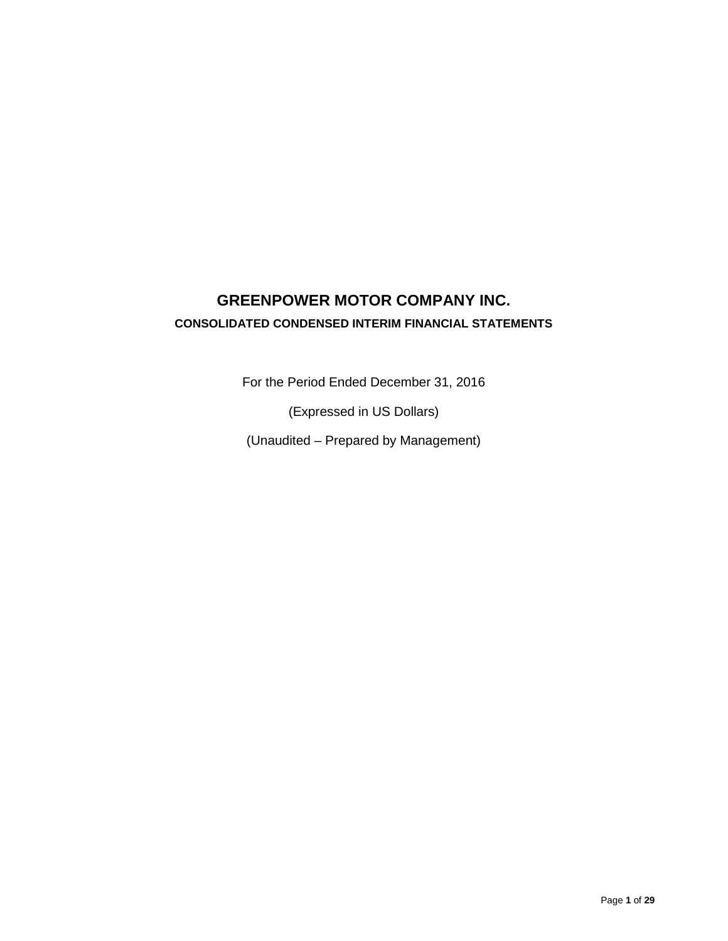# **GREENPOWER MOTOR COMPANY INC. CONSOLIDATED CONDENSED INTERIM FINANCIAL STATEMENTS**

For the Period Ended December 31, 2016

(Expressed in US Dollars)

(Unaudited – Prepared by Management)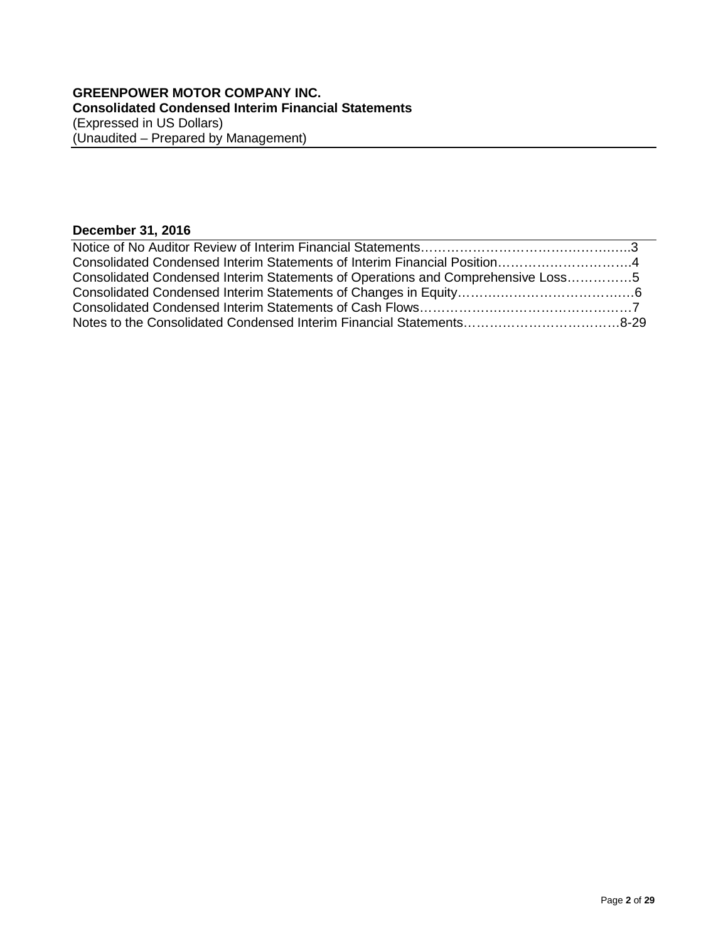# **December 31, 2016**

| <b>PUCCHING PIT EVIV</b>                                                        |  |
|---------------------------------------------------------------------------------|--|
|                                                                                 |  |
|                                                                                 |  |
| Consolidated Condensed Interim Statements of Operations and Comprehensive Loss5 |  |
|                                                                                 |  |
|                                                                                 |  |
|                                                                                 |  |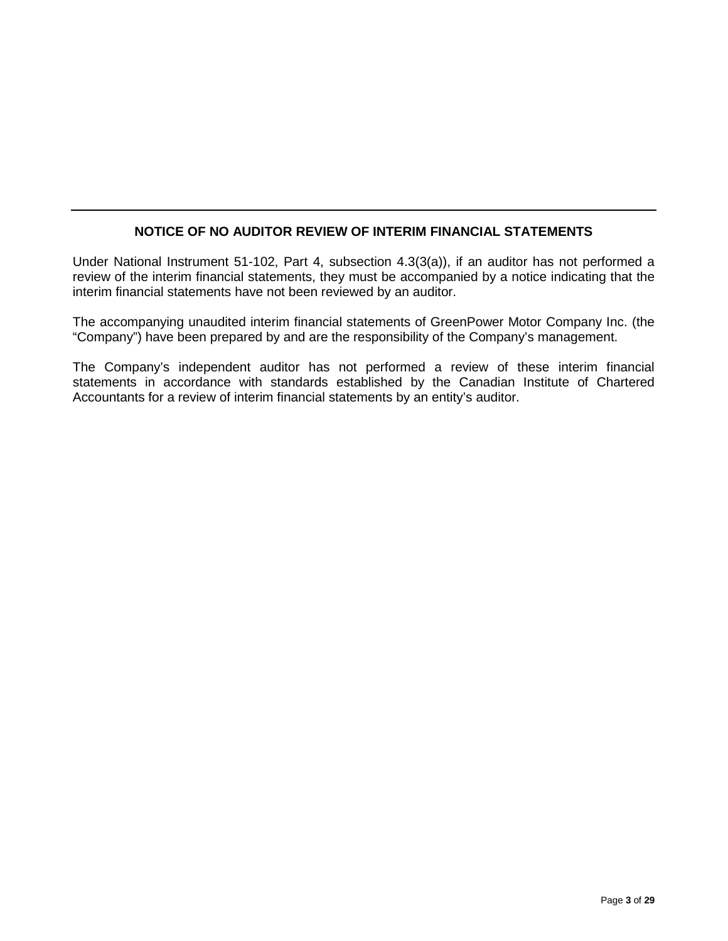# **NOTICE OF NO AUDITOR REVIEW OF INTERIM FINANCIAL STATEMENTS**

Under National Instrument 51-102, Part 4, subsection 4.3(3(a)), if an auditor has not performed a review of the interim financial statements, they must be accompanied by a notice indicating that the interim financial statements have not been reviewed by an auditor.

The accompanying unaudited interim financial statements of GreenPower Motor Company Inc. (the "Company") have been prepared by and are the responsibility of the Company's management.

The Company's independent auditor has not performed a review of these interim financial statements in accordance with standards established by the Canadian Institute of Chartered Accountants for a review of interim financial statements by an entity's auditor.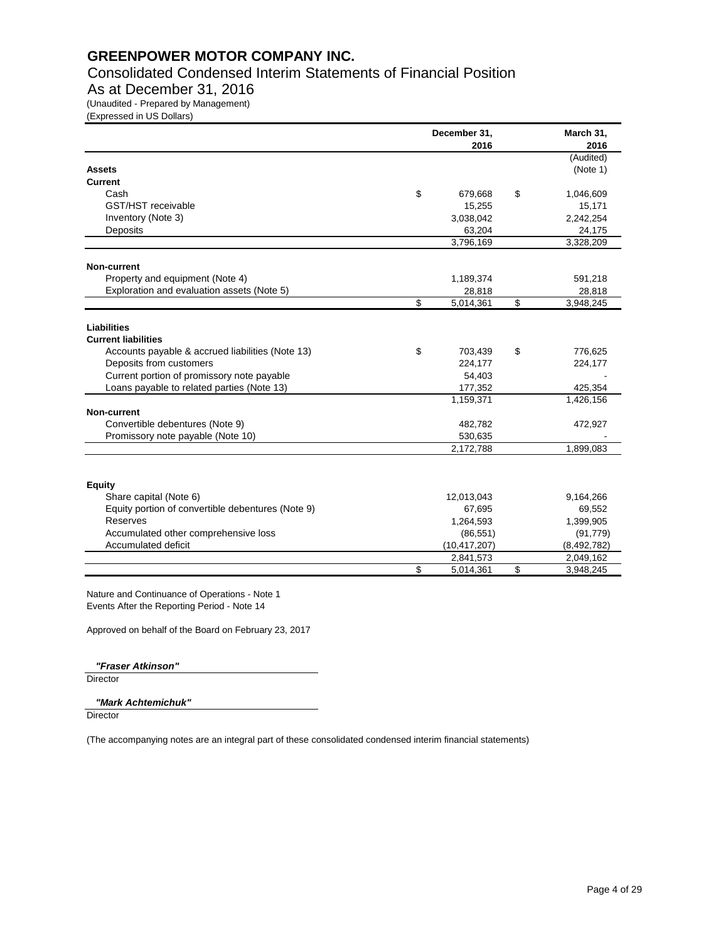Consolidated Condensed Interim Statements of Financial Position

# As at December 31, 2016

(Unaudited - Prepared by Management)

(Expressed in US Dollars)

|                                                   | December 31, | March 31,<br>2016 |                 |  |
|---------------------------------------------------|--------------|-------------------|-----------------|--|
|                                                   |              |                   | (Audited)       |  |
| <b>Assets</b>                                     |              |                   | (Note 1)        |  |
| Current                                           |              |                   |                 |  |
| Cash                                              | \$           | 679,668           | \$<br>1,046,609 |  |
| GST/HST receivable                                |              | 15,255            | 15,171          |  |
| Inventory (Note 3)                                |              | 3,038,042         | 2,242,254       |  |
| Deposits                                          |              | 63,204            | 24,175          |  |
|                                                   |              | 3,796,169         | 3,328,209       |  |
| Non-current                                       |              |                   |                 |  |
| Property and equipment (Note 4)                   |              | 1,189,374         | 591,218         |  |
| Exploration and evaluation assets (Note 5)        |              | 28,818            | 28,818          |  |
|                                                   | \$           | 5,014,361         | \$<br>3,948,245 |  |
| <b>Liabilities</b>                                |              |                   |                 |  |
| <b>Current liabilities</b>                        |              |                   |                 |  |
| Accounts payable & accrued liabilities (Note 13)  | \$           | 703,439           | \$<br>776,625   |  |
| Deposits from customers                           |              | 224,177           | 224,177         |  |
| Current portion of promissory note payable        |              | 54,403            |                 |  |
| Loans payable to related parties (Note 13)        |              | 177,352           | 425,354         |  |
|                                                   |              | 1,159,371         | 1,426,156       |  |
| <b>Non-current</b>                                |              |                   |                 |  |
| Convertible debentures (Note 9)                   |              | 482,782           | 472,927         |  |
| Promissory note payable (Note 10)                 |              | 530,635           |                 |  |
|                                                   |              | 2,172,788         | 1,899,083       |  |
|                                                   |              |                   |                 |  |
| <b>Equity</b>                                     |              |                   |                 |  |
| Share capital (Note 6)                            |              | 12,013,043        | 9,164,266       |  |
| Equity portion of convertible debentures (Note 9) |              | 67,695            | 69,552          |  |
| <b>Reserves</b>                                   |              | 1,264,593         | 1,399,905       |  |
| Accumulated other comprehensive loss              |              | (86, 551)         | (91, 779)       |  |
| Accumulated deficit                               |              | (10, 417, 207)    | (8,492,782)     |  |
|                                                   |              | 2,841,573         | 2,049,162       |  |
|                                                   | \$           | 5,014,361         | \$<br>3,948,245 |  |

Nature and Continuance of Operations - Note 1 Events After the Reporting Period - Note 14

Approved on behalf of the Board on February 23, 2017

*"Fraser Atkinson"*

**Director** 

#### *"Mark Achtemichuk"*

**Director**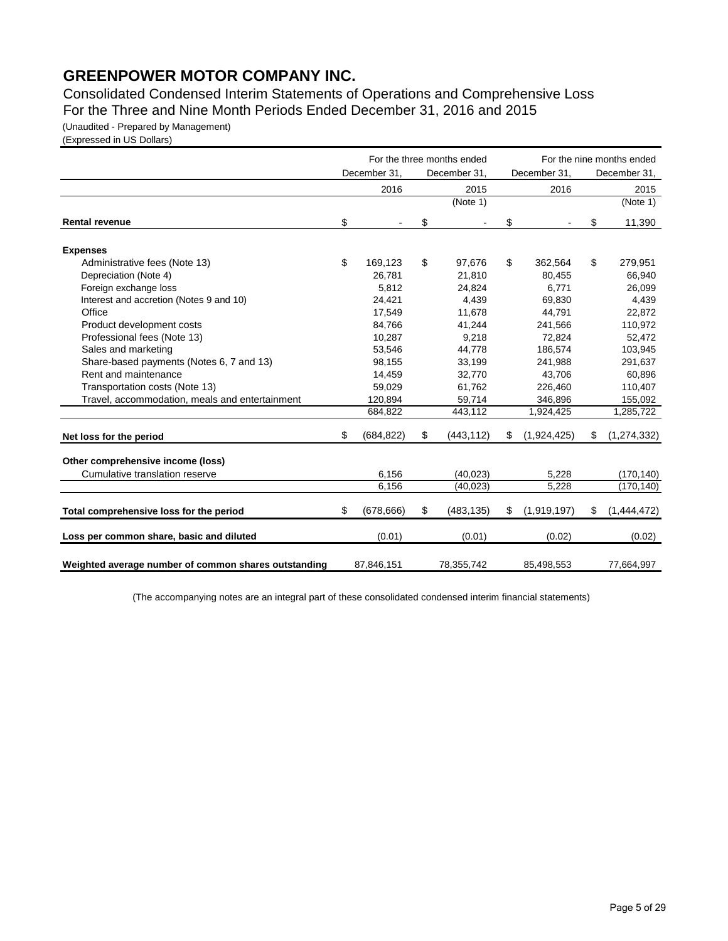Consolidated Condensed Interim Statements of Operations and Comprehensive Loss For the Three and Nine Month Periods Ended December 31, 2016 and 2015

(Unaudited - Prepared by Management)

(Expressed in US Dollars)

|                                                      |                  | For the three months ended |                   | For the nine months ended |               |  |
|------------------------------------------------------|------------------|----------------------------|-------------------|---------------------------|---------------|--|
|                                                      | December 31,     | December 31,               | December 31,      |                           | December 31,  |  |
|                                                      | 2016             | 2015                       | 2016              |                           | 2015          |  |
|                                                      |                  | (Note 1)                   |                   |                           | (Note 1)      |  |
| <b>Rental revenue</b>                                | \$               | \$                         | \$                | \$                        | 11,390        |  |
| <b>Expenses</b>                                      |                  |                            |                   |                           |               |  |
| Administrative fees (Note 13)                        | \$<br>169,123    | \$<br>97,676               | \$<br>362,564     | \$                        | 279,951       |  |
| Depreciation (Note 4)                                | 26.781           | 21.810                     | 80.455            |                           | 66,940        |  |
| Foreign exchange loss                                | 5,812            | 24,824                     | 6,771             |                           | 26,099        |  |
| Interest and accretion (Notes 9 and 10)              | 24,421           | 4,439                      | 69,830            |                           | 4,439         |  |
| Office                                               | 17,549           | 11,678                     | 44,791            |                           | 22,872        |  |
| Product development costs                            | 84,766           | 41,244                     | 241,566           |                           | 110,972       |  |
| Professional fees (Note 13)                          | 10,287           | 9,218                      | 72,824            |                           | 52,472        |  |
| Sales and marketing                                  | 53,546           | 44,778                     | 186,574           |                           | 103,945       |  |
| Share-based payments (Notes 6, 7 and 13)             | 98,155           | 33,199                     | 241,988           |                           | 291,637       |  |
| Rent and maintenance                                 | 14,459           | 32,770                     | 43,706            |                           | 60,896        |  |
| Transportation costs (Note 13)                       | 59,029           | 61,762                     | 226,460           |                           | 110,407       |  |
| Travel, accommodation, meals and entertainment       | 120,894          | 59,714                     | 346,896           |                           | 155,092       |  |
|                                                      | 684,822          | 443,112                    | 1,924,425         |                           | 1,285,722     |  |
| Net loss for the period                              | \$<br>(684, 822) | \$<br>(443, 112)           | \$<br>(1,924,425) | \$                        | (1, 274, 332) |  |
| Other comprehensive income (loss)                    |                  |                            |                   |                           |               |  |
| Cumulative translation reserve                       | 6,156            | (40, 023)                  | 5,228             |                           | (170, 140)    |  |
|                                                      | 6,156            | (40, 023)                  | 5,228             |                           | (170, 140)    |  |
| Total comprehensive loss for the period              | \$<br>(678, 666) | \$<br>(483, 135)           | \$<br>(1,919,197) | \$                        | (1,444,472)   |  |
| Loss per common share, basic and diluted             | (0.01)           | (0.01)                     | (0.02)            |                           | (0.02)        |  |
| Weighted average number of common shares outstanding | 87,846,151       | 78,355,742                 | 85,498,553        |                           | 77,664,997    |  |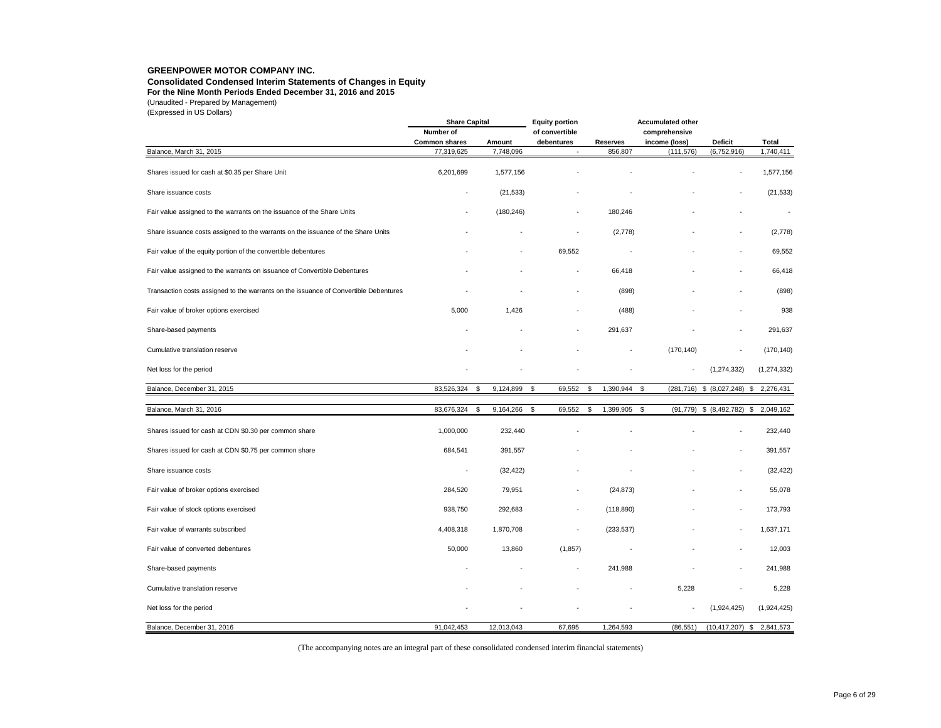#### **Consolidated Condensed Interim Statements of Changes in Equity**

**For the Nine Month Periods Ended December 31, 2016 and 2015**

(Unaudited - Prepared by Management)

(Expressed in US Dollars)

| $\left(\frac{1}{2}, \frac{1}{2}\right)$                                              | <b>Share Capital</b> |                 | <b>Equity portion</b> |                 | <b>Accumulated other</b> |                                |               |  |  |  |
|--------------------------------------------------------------------------------------|----------------------|-----------------|-----------------------|-----------------|--------------------------|--------------------------------|---------------|--|--|--|
|                                                                                      | Number of            |                 | of convertible        |                 | comprehensive            |                                |               |  |  |  |
|                                                                                      | <b>Common shares</b> | Amount          | debentures            | <b>Reserves</b> | income (loss)            | Deficit                        | <b>Total</b>  |  |  |  |
| Balance, March 31, 2015                                                              | 77,319,625           | 7,748,096       |                       | 856,807         | (111, 576)               | (6,752,916)                    | 1,740,411     |  |  |  |
|                                                                                      |                      |                 |                       |                 |                          |                                |               |  |  |  |
| Shares issued for cash at \$0.35 per Share Unit                                      | 6,201,699            | 1,577,156       |                       |                 |                          |                                | 1,577,156     |  |  |  |
| Share issuance costs                                                                 |                      | (21, 533)       |                       |                 |                          |                                | (21, 533)     |  |  |  |
| Fair value assigned to the warrants on the issuance of the Share Units               |                      | (180, 246)      |                       | 180,246         |                          |                                |               |  |  |  |
| Share issuance costs assigned to the warrants on the issuance of the Share Units     |                      |                 | ÷,                    | (2,778)         |                          |                                | (2,778)       |  |  |  |
| Fair value of the equity portion of the convertible debentures                       |                      |                 | 69,552                |                 |                          |                                | 69,552        |  |  |  |
| Fair value assigned to the warrants on issuance of Convertible Debentures            |                      |                 | ä,                    | 66,418          |                          |                                | 66,418        |  |  |  |
| Transaction costs assigned to the warrants on the issuance of Convertible Debentures |                      |                 |                       | (898)           |                          |                                | (898)         |  |  |  |
| Fair value of broker options exercised                                               | 5,000                | 1,426           |                       | (488)           |                          |                                | 938           |  |  |  |
| Share-based payments                                                                 |                      |                 |                       | 291,637         |                          |                                | 291,637       |  |  |  |
| Cumulative translation reserve                                                       |                      |                 |                       |                 | (170, 140)               |                                | (170, 140)    |  |  |  |
| Net loss for the period                                                              |                      |                 |                       |                 |                          | (1, 274, 332)                  | (1, 274, 332) |  |  |  |
| Balance, December 31, 2015                                                           | 83,526,324<br>\$     | 9,124,899       | \$<br>69,552          | 1,390,944<br>\$ | \$<br>(281, 716)         | \$ (8,027,248)<br>\$           | 2,276,431     |  |  |  |
|                                                                                      |                      |                 |                       |                 |                          |                                |               |  |  |  |
| Balance, March 31, 2016                                                              | 83,676,324           | 9,164,266<br>\$ | \$<br>69,552          | 1,399,905<br>\$ | \$                       | $(91,779)$ \$ $(8,492,782)$ \$ | 2,049,162     |  |  |  |
| Shares issued for cash at CDN \$0.30 per common share                                | 1,000,000            | 232,440         |                       |                 |                          |                                | 232,440       |  |  |  |
| Shares issued for cash at CDN \$0.75 per common share                                | 684,541              | 391,557         |                       |                 |                          |                                | 391,557       |  |  |  |
| Share issuance costs                                                                 |                      | (32, 422)       |                       |                 |                          |                                | (32, 422)     |  |  |  |
| Fair value of broker options exercised                                               | 284,520              | 79,951          |                       | (24, 873)       |                          |                                | 55,078        |  |  |  |
| Fair value of stock options exercised                                                | 938,750              | 292,683         |                       | (118, 890)      |                          |                                | 173,793       |  |  |  |
| Fair value of warrants subscribed                                                    | 4,408,318            | 1,870,708       |                       | (233, 537)      |                          |                                | 1,637,171     |  |  |  |
| Fair value of converted debentures                                                   | 50,000               | 13,860          | (1, 857)              |                 |                          |                                | 12,003        |  |  |  |
| Share-based payments                                                                 |                      |                 |                       | 241,988         |                          |                                | 241,988       |  |  |  |
| Cumulative translation reserve                                                       |                      |                 |                       |                 | 5,228                    |                                | 5,228         |  |  |  |
| Net loss for the period                                                              |                      |                 |                       |                 |                          | (1,924,425)                    | (1,924,425)   |  |  |  |
| Balance, December 31, 2016                                                           | 91,042,453           | 12,013,043      | 67,695                | 1,264,593       | (86, 551)                | $(10, 417, 207)$ \$            | 2,841,573     |  |  |  |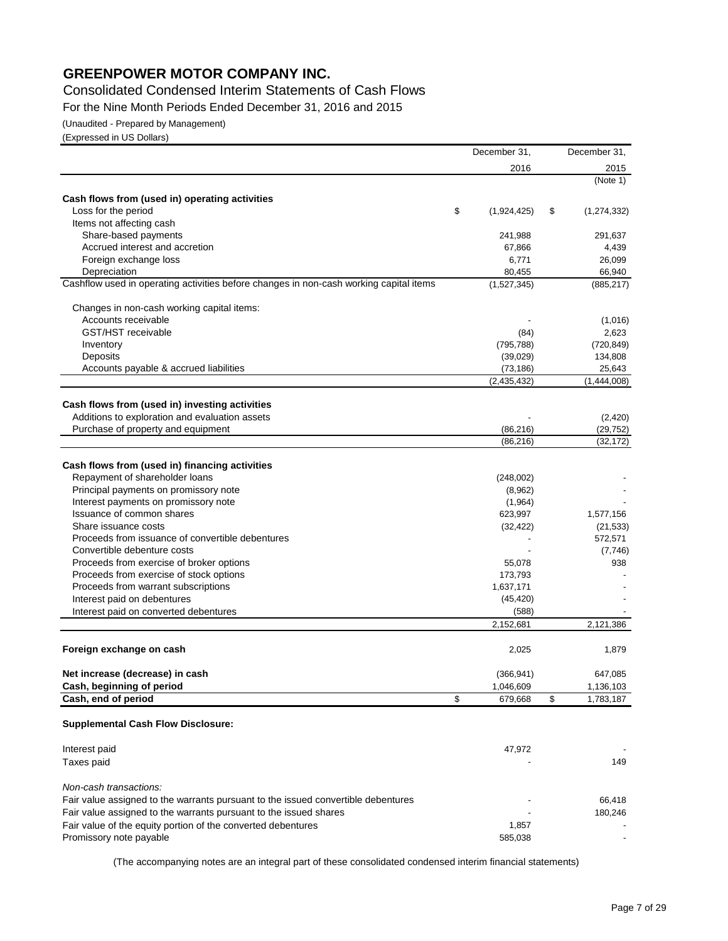Consolidated Condensed Interim Statements of Cash Flows

For the Nine Month Periods Ended December 31, 2016 and 2015

(Unaudited - Prepared by Management)

(Expressed in US Dollars)

|                                                                                        | December 31,      | December 31,             |
|----------------------------------------------------------------------------------------|-------------------|--------------------------|
|                                                                                        | 2016              | 2015                     |
|                                                                                        |                   | (Note 1)                 |
| Cash flows from (used in) operating activities                                         |                   |                          |
| Loss for the period                                                                    | \$<br>(1,924,425) | \$<br>(1, 274, 332)      |
| Items not affecting cash                                                               |                   |                          |
| Share-based payments                                                                   | 241,988           | 291,637                  |
| Accrued interest and accretion                                                         | 67,866            | 4,439                    |
| Foreign exchange loss                                                                  | 6,771             | 26,099                   |
| Depreciation                                                                           | 80,455            | 66,940                   |
| Cashflow used in operating activities before changes in non-cash working capital items | (1,527,345)       | (885, 217)               |
| Changes in non-cash working capital items:                                             |                   |                          |
| Accounts receivable                                                                    |                   | (1,016)                  |
| <b>GST/HST</b> receivable                                                              | (84)              | 2,623                    |
| Inventory                                                                              | (795, 788)        | (720, 849)               |
| Deposits                                                                               | (39,029)          | 134,808                  |
| Accounts payable & accrued liabilities                                                 | (73, 186)         | 25,643                   |
|                                                                                        | (2,435,432)       | (1,444,008)              |
| Cash flows from (used in) investing activities                                         |                   |                          |
| Additions to exploration and evaluation assets                                         |                   | (2,420)                  |
| Purchase of property and equipment                                                     | (86, 216)         | (29,752)                 |
|                                                                                        | (86, 216)         | (32, 172)                |
| Cash flows from (used in) financing activities                                         |                   |                          |
| Repayment of shareholder loans                                                         | (248,002)         |                          |
| Principal payments on promissory note                                                  | (8,962)           |                          |
| Interest payments on promissory note                                                   | (1,964)           |                          |
| Issuance of common shares                                                              | 623,997           | 1,577,156                |
| Share issuance costs                                                                   | (32, 422)         | (21, 533)                |
| Proceeds from issuance of convertible debentures                                       |                   | 572,571                  |
| Convertible debenture costs                                                            |                   | (7,746)                  |
| Proceeds from exercise of broker options                                               | 55,078            | 938                      |
| Proceeds from exercise of stock options                                                | 173,793           |                          |
| Proceeds from warrant subscriptions                                                    | 1,637,171         |                          |
| Interest paid on debentures                                                            | (45, 420)         |                          |
| Interest paid on converted debentures                                                  | (588)             |                          |
|                                                                                        | 2.152.681         | 2,121,386                |
|                                                                                        |                   |                          |
| Foreign exchange on cash                                                               | 2,025             | 1,879                    |
| Net increase (decrease) in cash                                                        | (366, 941)        | 647,085                  |
| Cash, beginning of period                                                              | 1,046,609         | 1,136,103                |
| Cash, end of period                                                                    | \$<br>679,668     | \$<br>1,783,187          |
|                                                                                        |                   |                          |
| <b>Supplemental Cash Flow Disclosure:</b>                                              |                   |                          |
| Interest paid                                                                          | 47,972            |                          |
| Taxes paid                                                                             |                   | 149                      |
| Non-cash transactions:                                                                 |                   |                          |
| Fair value assigned to the warrants pursuant to the issued convertible debentures      |                   | 66,418                   |
| Fair value assigned to the warrants pursuant to the issued shares                      |                   | 180,246                  |
| Fair value of the equity portion of the converted debentures                           | 1,857             |                          |
| Promissory note payable                                                                | 585,038           | $\overline{\phantom{a}}$ |
|                                                                                        |                   |                          |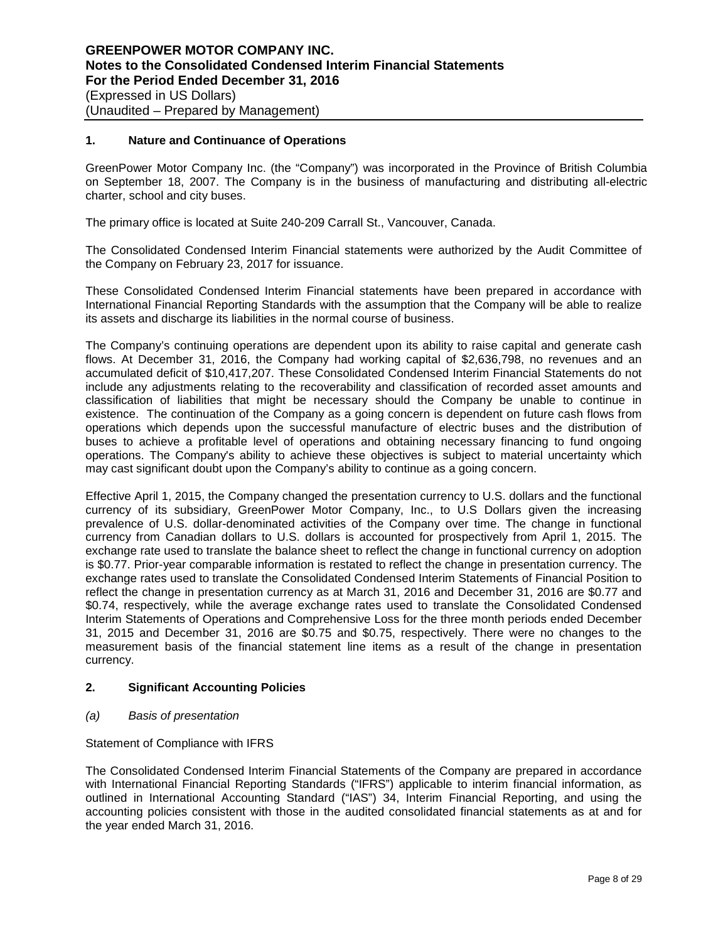## **1. Nature and Continuance of Operations**

GreenPower Motor Company Inc. (the "Company") was incorporated in the Province of British Columbia on September 18, 2007. The Company is in the business of manufacturing and distributing all-electric charter, school and city buses.

The primary office is located at Suite 240-209 Carrall St., Vancouver, Canada.

The Consolidated Condensed Interim Financial statements were authorized by the Audit Committee of the Company on February 23, 2017 for issuance.

These Consolidated Condensed Interim Financial statements have been prepared in accordance with International Financial Reporting Standards with the assumption that the Company will be able to realize its assets and discharge its liabilities in the normal course of business.

The Company's continuing operations are dependent upon its ability to raise capital and generate cash flows. At December 31, 2016, the Company had working capital of \$2,636,798, no revenues and an accumulated deficit of \$10,417,207. These Consolidated Condensed Interim Financial Statements do not include any adjustments relating to the recoverability and classification of recorded asset amounts and classification of liabilities that might be necessary should the Company be unable to continue in existence. The continuation of the Company as a going concern is dependent on future cash flows from operations which depends upon the successful manufacture of electric buses and the distribution of buses to achieve a profitable level of operations and obtaining necessary financing to fund ongoing operations. The Company's ability to achieve these objectives is subject to material uncertainty which may cast significant doubt upon the Company's ability to continue as a going concern.

Effective April 1, 2015, the Company changed the presentation currency to U.S. dollars and the functional currency of its subsidiary, GreenPower Motor Company, Inc., to U.S Dollars given the increasing prevalence of U.S. dollar-denominated activities of the Company over time. The change in functional currency from Canadian dollars to U.S. dollars is accounted for prospectively from April 1, 2015. The exchange rate used to translate the balance sheet to reflect the change in functional currency on adoption is \$0.77. Prior-year comparable information is restated to reflect the change in presentation currency. The exchange rates used to translate the Consolidated Condensed Interim Statements of Financial Position to reflect the change in presentation currency as at March 31, 2016 and December 31, 2016 are \$0.77 and \$0.74, respectively, while the average exchange rates used to translate the Consolidated Condensed Interim Statements of Operations and Comprehensive Loss for the three month periods ended December 31, 2015 and December 31, 2016 are \$0.75 and \$0.75, respectively. There were no changes to the measurement basis of the financial statement line items as a result of the change in presentation currency.

# **2. Significant Accounting Policies**

*(a) Basis of presentation*

Statement of Compliance with IFRS

The Consolidated Condensed Interim Financial Statements of the Company are prepared in accordance with International Financial Reporting Standards ("IFRS") applicable to interim financial information, as outlined in International Accounting Standard ("IAS") 34, Interim Financial Reporting, and using the accounting policies consistent with those in the audited consolidated financial statements as at and for the year ended March 31, 2016.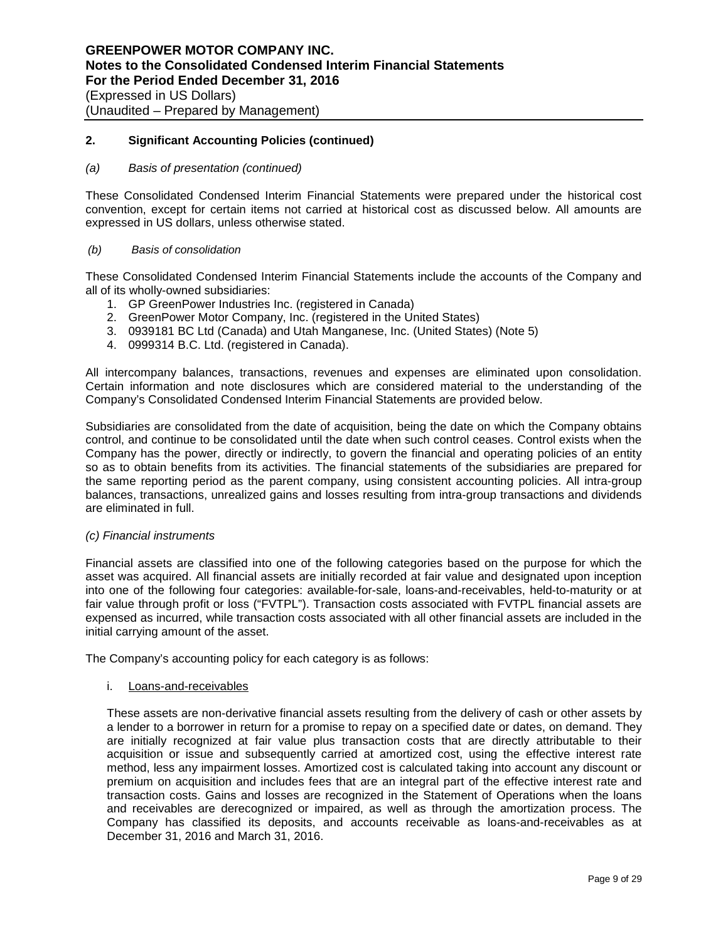### *(a) Basis of presentation (continued)*

These Consolidated Condensed Interim Financial Statements were prepared under the historical cost convention, except for certain items not carried at historical cost as discussed below. All amounts are expressed in US dollars, unless otherwise stated.

#### *(b) Basis of consolidation*

These Consolidated Condensed Interim Financial Statements include the accounts of the Company and all of its wholly-owned subsidiaries:

- 1. GP GreenPower Industries Inc. (registered in Canada)
- 2. GreenPower Motor Company, Inc. (registered in the United States)
- 3. 0939181 BC Ltd (Canada) and Utah Manganese, Inc. (United States) (Note 5)
- 4. 0999314 B.C. Ltd. (registered in Canada).

All intercompany balances, transactions, revenues and expenses are eliminated upon consolidation. Certain information and note disclosures which are considered material to the understanding of the Company's Consolidated Condensed Interim Financial Statements are provided below.

Subsidiaries are consolidated from the date of acquisition, being the date on which the Company obtains control, and continue to be consolidated until the date when such control ceases. Control exists when the Company has the power, directly or indirectly, to govern the financial and operating policies of an entity so as to obtain benefits from its activities. The financial statements of the subsidiaries are prepared for the same reporting period as the parent company, using consistent accounting policies. All intra-group balances, transactions, unrealized gains and losses resulting from intra-group transactions and dividends are eliminated in full.

#### *(c) Financial instruments*

Financial assets are classified into one of the following categories based on the purpose for which the asset was acquired. All financial assets are initially recorded at fair value and designated upon inception into one of the following four categories: available-for-sale, loans-and-receivables, held-to-maturity or at fair value through profit or loss ("FVTPL"). Transaction costs associated with FVTPL financial assets are expensed as incurred, while transaction costs associated with all other financial assets are included in the initial carrying amount of the asset.

The Company's accounting policy for each category is as follows:

i. Loans-and-receivables

These assets are non-derivative financial assets resulting from the delivery of cash or other assets by a lender to a borrower in return for a promise to repay on a specified date or dates, on demand. They are initially recognized at fair value plus transaction costs that are directly attributable to their acquisition or issue and subsequently carried at amortized cost, using the effective interest rate method, less any impairment losses. Amortized cost is calculated taking into account any discount or premium on acquisition and includes fees that are an integral part of the effective interest rate and transaction costs. Gains and losses are recognized in the Statement of Operations when the loans and receivables are derecognized or impaired, as well as through the amortization process. The Company has classified its deposits, and accounts receivable as loans-and-receivables as at December 31, 2016 and March 31, 2016.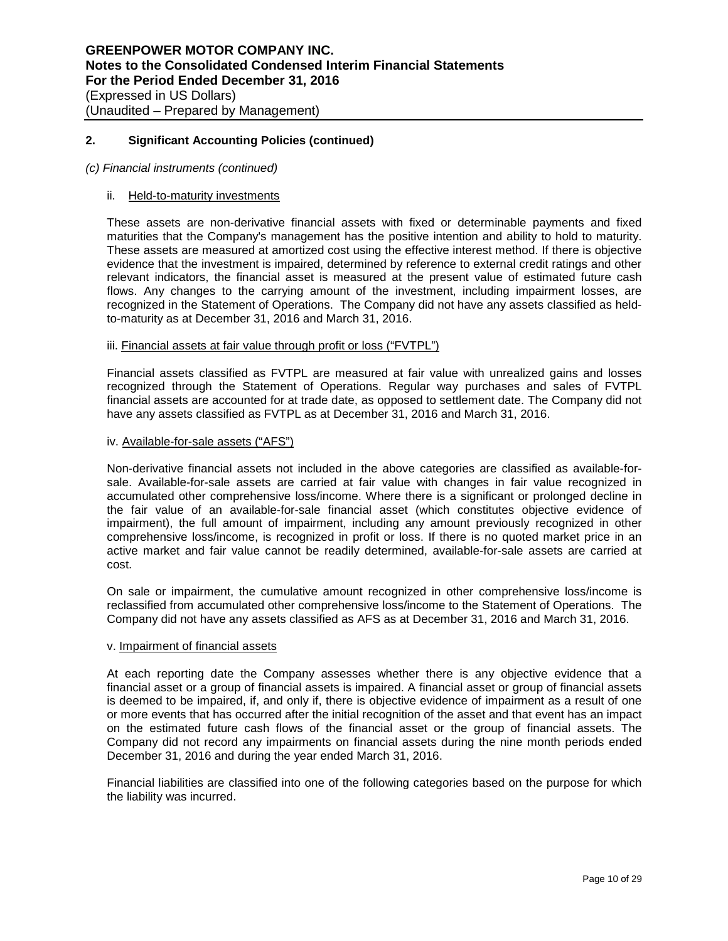### *(c) Financial instruments (continued)*

### ii. Held-to-maturity investments

These assets are non-derivative financial assets with fixed or determinable payments and fixed maturities that the Company's management has the positive intention and ability to hold to maturity. These assets are measured at amortized cost using the effective interest method. If there is objective evidence that the investment is impaired, determined by reference to external credit ratings and other relevant indicators, the financial asset is measured at the present value of estimated future cash flows. Any changes to the carrying amount of the investment, including impairment losses, are recognized in the Statement of Operations. The Company did not have any assets classified as heldto-maturity as at December 31, 2016 and March 31, 2016.

# iii. Financial assets at fair value through profit or loss ("FVTPL")

Financial assets classified as FVTPL are measured at fair value with unrealized gains and losses recognized through the Statement of Operations. Regular way purchases and sales of FVTPL financial assets are accounted for at trade date, as opposed to settlement date. The Company did not have any assets classified as FVTPL as at December 31, 2016 and March 31, 2016.

#### iv. Available-for-sale assets ("AFS")

Non-derivative financial assets not included in the above categories are classified as available-forsale. Available-for-sale assets are carried at fair value with changes in fair value recognized in accumulated other comprehensive loss/income. Where there is a significant or prolonged decline in the fair value of an available-for-sale financial asset (which constitutes objective evidence of impairment), the full amount of impairment, including any amount previously recognized in other comprehensive loss/income, is recognized in profit or loss. If there is no quoted market price in an active market and fair value cannot be readily determined, available-for-sale assets are carried at cost.

On sale or impairment, the cumulative amount recognized in other comprehensive loss/income is reclassified from accumulated other comprehensive loss/income to the Statement of Operations. The Company did not have any assets classified as AFS as at December 31, 2016 and March 31, 2016.

#### v. Impairment of financial assets

At each reporting date the Company assesses whether there is any objective evidence that a financial asset or a group of financial assets is impaired. A financial asset or group of financial assets is deemed to be impaired, if, and only if, there is objective evidence of impairment as a result of one or more events that has occurred after the initial recognition of the asset and that event has an impact on the estimated future cash flows of the financial asset or the group of financial assets. The Company did not record any impairments on financial assets during the nine month periods ended December 31, 2016 and during the year ended March 31, 2016.

Financial liabilities are classified into one of the following categories based on the purpose for which the liability was incurred.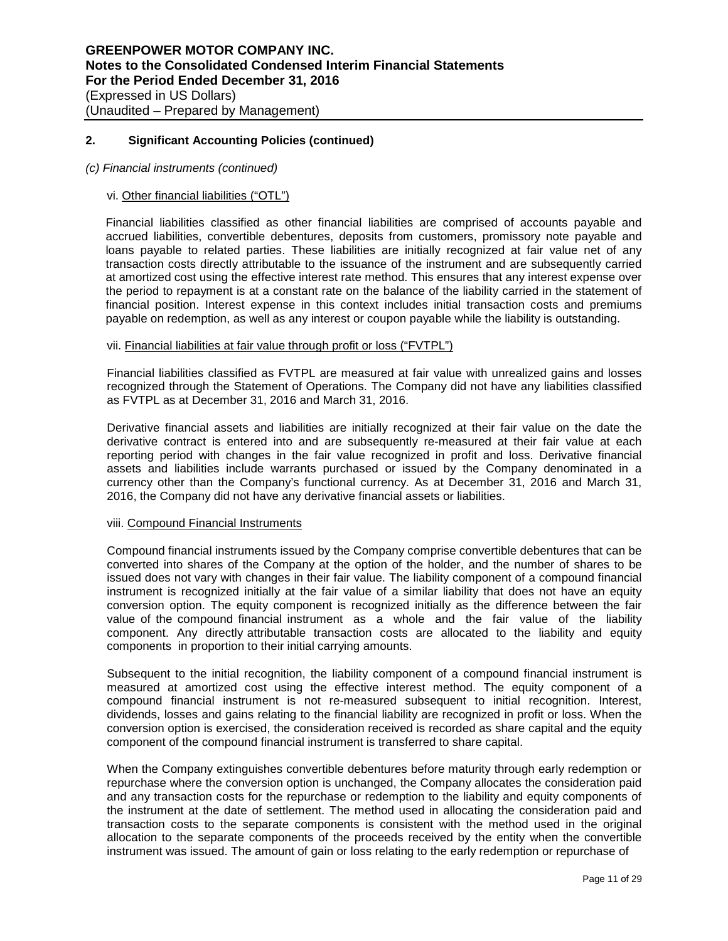### *(c) Financial instruments (continued)*

# vi. Other financial liabilities ("OTL")

Financial liabilities classified as other financial liabilities are comprised of accounts payable and accrued liabilities, convertible debentures, deposits from customers, promissory note payable and loans payable to related parties. These liabilities are initially recognized at fair value net of any transaction costs directly attributable to the issuance of the instrument and are subsequently carried at amortized cost using the effective interest rate method. This ensures that any interest expense over the period to repayment is at a constant rate on the balance of the liability carried in the statement of financial position. Interest expense in this context includes initial transaction costs and premiums payable on redemption, as well as any interest or coupon payable while the liability is outstanding.

### vii. Financial liabilities at fair value through profit or loss ("FVTPL")

Financial liabilities classified as FVTPL are measured at fair value with unrealized gains and losses recognized through the Statement of Operations. The Company did not have any liabilities classified as FVTPL as at December 31, 2016 and March 31, 2016.

Derivative financial assets and liabilities are initially recognized at their fair value on the date the derivative contract is entered into and are subsequently re-measured at their fair value at each reporting period with changes in the fair value recognized in profit and loss. Derivative financial assets and liabilities include warrants purchased or issued by the Company denominated in a currency other than the Company's functional currency. As at December 31, 2016 and March 31, 2016, the Company did not have any derivative financial assets or liabilities.

#### viii. Compound Financial Instruments

Compound financial instruments issued by the Company comprise convertible debentures that can be converted into shares of the Company at the option of the holder, and the number of shares to be issued does not vary with changes in their fair value. The liability component of a compound financial instrument is recognized initially at the fair value of a similar liability that does not have an equity conversion option. The equity component is recognized initially as the difference between the fair value of the compound financial instrument as a whole and the fair value of the liability component. Any directly attributable transaction costs are allocated to the liability and equity components in proportion to their initial carrying amounts.

Subsequent to the initial recognition, the liability component of a compound financial instrument is measured at amortized cost using the effective interest method. The equity component of a compound financial instrument is not re-measured subsequent to initial recognition. Interest, dividends, losses and gains relating to the financial liability are recognized in profit or loss. When the conversion option is exercised, the consideration received is recorded as share capital and the equity component of the compound financial instrument is transferred to share capital.

When the Company extinguishes convertible debentures before maturity through early redemption or repurchase where the conversion option is unchanged, the Company allocates the consideration paid and any transaction costs for the repurchase or redemption to the liability and equity components of the instrument at the date of settlement. The method used in allocating the consideration paid and transaction costs to the separate components is consistent with the method used in the original allocation to the separate components of the proceeds received by the entity when the convertible instrument was issued. The amount of gain or loss relating to the early redemption or repurchase of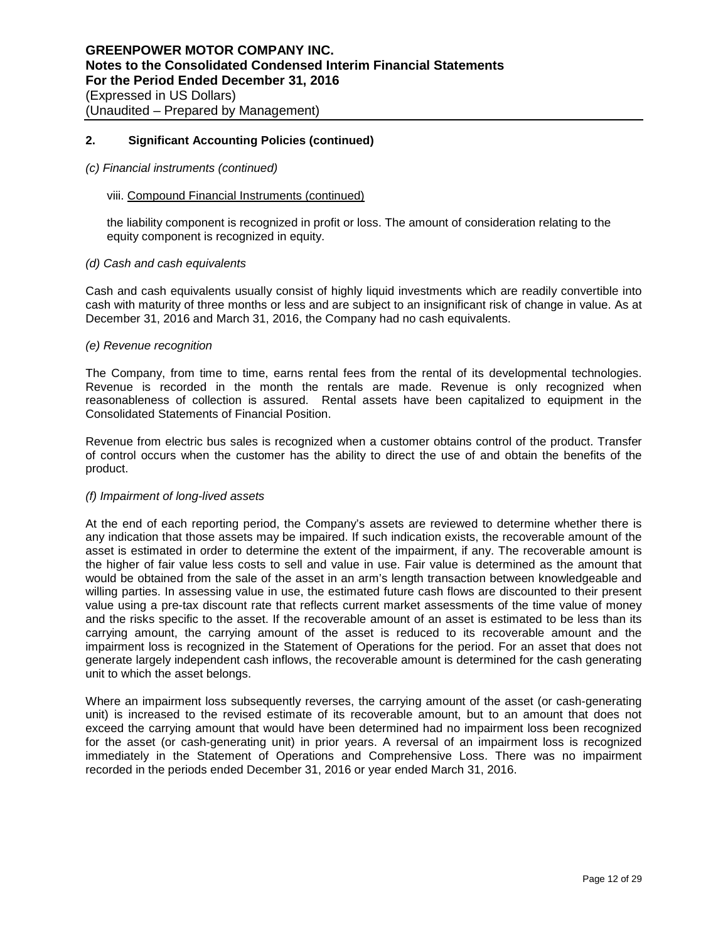#### *(c) Financial instruments (continued)*

#### viii. Compound Financial Instruments (continued)

the liability component is recognized in profit or loss. The amount of consideration relating to the equity component is recognized in equity.

#### *(d) Cash and cash equivalents*

Cash and cash equivalents usually consist of highly liquid investments which are readily convertible into cash with maturity of three months or less and are subject to an insignificant risk of change in value. As at December 31, 2016 and March 31, 2016, the Company had no cash equivalents.

#### *(e) Revenue recognition*

The Company, from time to time, earns rental fees from the rental of its developmental technologies. Revenue is recorded in the month the rentals are made. Revenue is only recognized when reasonableness of collection is assured. Rental assets have been capitalized to equipment in the Consolidated Statements of Financial Position.

Revenue from electric bus sales is recognized when a customer obtains control of the product. Transfer of control occurs when the customer has the ability to direct the use of and obtain the benefits of the product.

#### *(f) Impairment of long-lived assets*

At the end of each reporting period, the Company's assets are reviewed to determine whether there is any indication that those assets may be impaired. If such indication exists, the recoverable amount of the asset is estimated in order to determine the extent of the impairment, if any. The recoverable amount is the higher of fair value less costs to sell and value in use. Fair value is determined as the amount that would be obtained from the sale of the asset in an arm's length transaction between knowledgeable and willing parties. In assessing value in use, the estimated future cash flows are discounted to their present value using a pre-tax discount rate that reflects current market assessments of the time value of money and the risks specific to the asset. If the recoverable amount of an asset is estimated to be less than its carrying amount, the carrying amount of the asset is reduced to its recoverable amount and the impairment loss is recognized in the Statement of Operations for the period. For an asset that does not generate largely independent cash inflows, the recoverable amount is determined for the cash generating unit to which the asset belongs.

Where an impairment loss subsequently reverses, the carrying amount of the asset (or cash-generating unit) is increased to the revised estimate of its recoverable amount, but to an amount that does not exceed the carrying amount that would have been determined had no impairment loss been recognized for the asset (or cash-generating unit) in prior years. A reversal of an impairment loss is recognized immediately in the Statement of Operations and Comprehensive Loss. There was no impairment recorded in the periods ended December 31, 2016 or year ended March 31, 2016.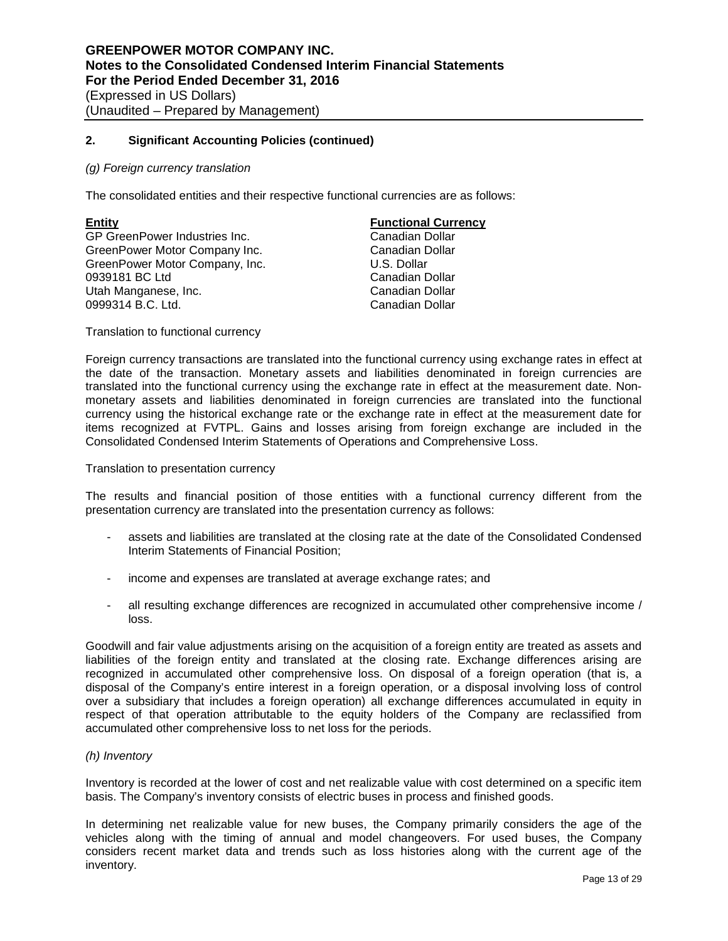#### *(g) Foreign currency translation*

The consolidated entities and their respective functional currencies are as follows:

**Entity Functional Currency** GP GreenPower Industries Inc.<br>
GreenPower Motor Company Inc.<br>
Canadian Dollar GreenPower Motor Company Inc. GreenPower Motor Company, Inc. **Example 20 Your COMPANY** U.S. Dollar 0939181 BC Ltd Canadian Dollar Utah Manganese, Inc. 0999314 B.C. Ltd. Canadian Dollar

Translation to functional currency

Foreign currency transactions are translated into the functional currency using exchange rates in effect at the date of the transaction. Monetary assets and liabilities denominated in foreign currencies are translated into the functional currency using the exchange rate in effect at the measurement date. Nonmonetary assets and liabilities denominated in foreign currencies are translated into the functional currency using the historical exchange rate or the exchange rate in effect at the measurement date for items recognized at FVTPL. Gains and losses arising from foreign exchange are included in the Consolidated Condensed Interim Statements of Operations and Comprehensive Loss.

Translation to presentation currency

The results and financial position of those entities with a functional currency different from the presentation currency are translated into the presentation currency as follows:

- assets and liabilities are translated at the closing rate at the date of the Consolidated Condensed Interim Statements of Financial Position;
- income and expenses are translated at average exchange rates; and
- all resulting exchange differences are recognized in accumulated other comprehensive income / loss.

Goodwill and fair value adjustments arising on the acquisition of a foreign entity are treated as assets and liabilities of the foreign entity and translated at the closing rate. Exchange differences arising are recognized in accumulated other comprehensive loss. On disposal of a foreign operation (that is, a disposal of the Company's entire interest in a foreign operation, or a disposal involving loss of control over a subsidiary that includes a foreign operation) all exchange differences accumulated in equity in respect of that operation attributable to the equity holders of the Company are reclassified from accumulated other comprehensive loss to net loss for the periods.

#### *(h) Inventory*

Inventory is recorded at the lower of cost and net realizable value with cost determined on a specific item basis. The Company's inventory consists of electric buses in process and finished goods.

In determining net realizable value for new buses, the Company primarily considers the age of the vehicles along with the timing of annual and model changeovers. For used buses, the Company considers recent market data and trends such as loss histories along with the current age of the inventory.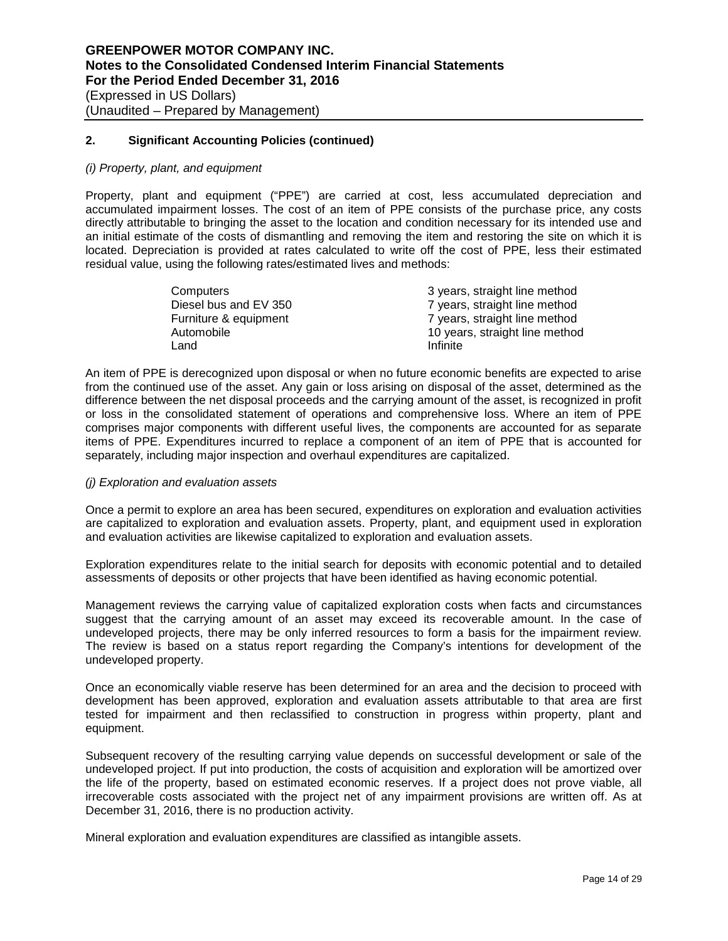#### *(i) Property, plant, and equipment*

Property, plant and equipment ("PPE") are carried at cost, less accumulated depreciation and accumulated impairment losses. The cost of an item of PPE consists of the purchase price, any costs directly attributable to bringing the asset to the location and condition necessary for its intended use and an initial estimate of the costs of dismantling and removing the item and restoring the site on which it is located. Depreciation is provided at rates calculated to write off the cost of PPE, less their estimated residual value, using the following rates/estimated lives and methods:

| Computers             | 3 years, straight line method  |
|-----------------------|--------------------------------|
| Diesel bus and EV 350 | 7 years, straight line method  |
| Furniture & equipment | 7 years, straight line method  |
| Automobile            | 10 years, straight line method |
| Land                  | Infinite                       |

An item of PPE is derecognized upon disposal or when no future economic benefits are expected to arise from the continued use of the asset. Any gain or loss arising on disposal of the asset, determined as the difference between the net disposal proceeds and the carrying amount of the asset, is recognized in profit or loss in the consolidated statement of operations and comprehensive loss. Where an item of PPE comprises major components with different useful lives, the components are accounted for as separate items of PPE. Expenditures incurred to replace a component of an item of PPE that is accounted for separately, including major inspection and overhaul expenditures are capitalized.

#### *(j) Exploration and evaluation assets*

Once a permit to explore an area has been secured, expenditures on exploration and evaluation activities are capitalized to exploration and evaluation assets. Property, plant, and equipment used in exploration and evaluation activities are likewise capitalized to exploration and evaluation assets.

Exploration expenditures relate to the initial search for deposits with economic potential and to detailed assessments of deposits or other projects that have been identified as having economic potential.

Management reviews the carrying value of capitalized exploration costs when facts and circumstances suggest that the carrying amount of an asset may exceed its recoverable amount. In the case of undeveloped projects, there may be only inferred resources to form a basis for the impairment review. The review is based on a status report regarding the Company's intentions for development of the undeveloped property.

Once an economically viable reserve has been determined for an area and the decision to proceed with development has been approved, exploration and evaluation assets attributable to that area are first tested for impairment and then reclassified to construction in progress within property, plant and equipment.

Subsequent recovery of the resulting carrying value depends on successful development or sale of the undeveloped project. If put into production, the costs of acquisition and exploration will be amortized over the life of the property, based on estimated economic reserves. If a project does not prove viable, all irrecoverable costs associated with the project net of any impairment provisions are written off. As at December 31, 2016, there is no production activity.

Mineral exploration and evaluation expenditures are classified as intangible assets.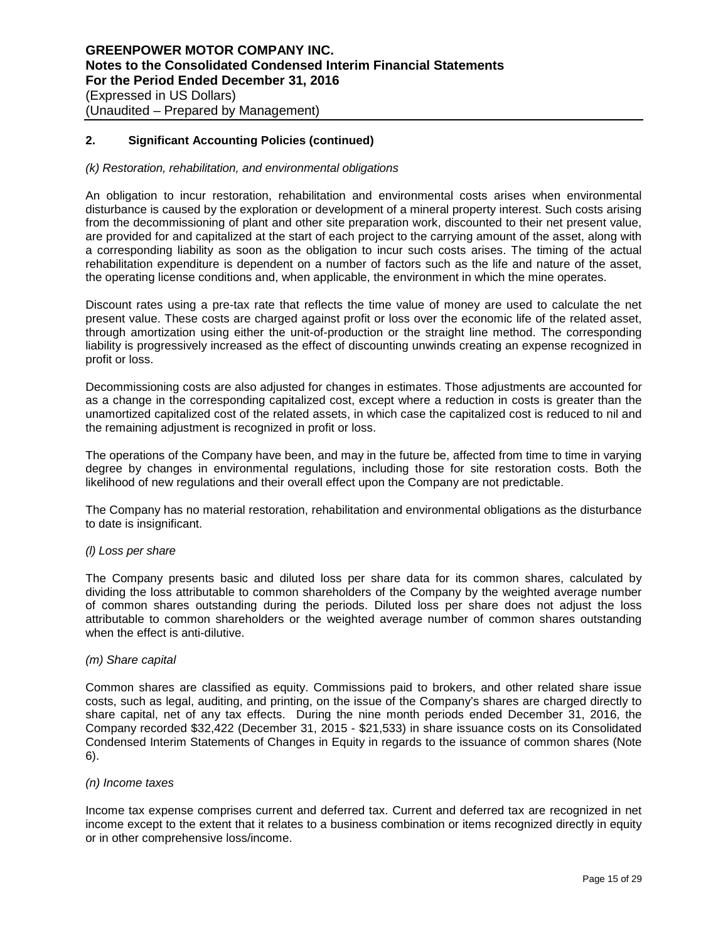#### *(k) Restoration, rehabilitation, and environmental obligations*

An obligation to incur restoration, rehabilitation and environmental costs arises when environmental disturbance is caused by the exploration or development of a mineral property interest. Such costs arising from the decommissioning of plant and other site preparation work, discounted to their net present value, are provided for and capitalized at the start of each project to the carrying amount of the asset, along with a corresponding liability as soon as the obligation to incur such costs arises. The timing of the actual rehabilitation expenditure is dependent on a number of factors such as the life and nature of the asset, the operating license conditions and, when applicable, the environment in which the mine operates.

Discount rates using a pre-tax rate that reflects the time value of money are used to calculate the net present value. These costs are charged against profit or loss over the economic life of the related asset, through amortization using either the unit-of-production or the straight line method. The corresponding liability is progressively increased as the effect of discounting unwinds creating an expense recognized in profit or loss.

Decommissioning costs are also adjusted for changes in estimates. Those adjustments are accounted for as a change in the corresponding capitalized cost, except where a reduction in costs is greater than the unamortized capitalized cost of the related assets, in which case the capitalized cost is reduced to nil and the remaining adjustment is recognized in profit or loss.

The operations of the Company have been, and may in the future be, affected from time to time in varying degree by changes in environmental regulations, including those for site restoration costs. Both the likelihood of new regulations and their overall effect upon the Company are not predictable.

The Company has no material restoration, rehabilitation and environmental obligations as the disturbance to date is insignificant.

#### *(l) Loss per share*

The Company presents basic and diluted loss per share data for its common shares, calculated by dividing the loss attributable to common shareholders of the Company by the weighted average number of common shares outstanding during the periods. Diluted loss per share does not adjust the loss attributable to common shareholders or the weighted average number of common shares outstanding when the effect is anti-dilutive.

#### *(m) Share capital*

Common shares are classified as equity. Commissions paid to brokers, and other related share issue costs, such as legal, auditing, and printing, on the issue of the Company's shares are charged directly to share capital, net of any tax effects. During the nine month periods ended December 31, 2016, the Company recorded \$32,422 (December 31, 2015 - \$21,533) in share issuance costs on its Consolidated Condensed Interim Statements of Changes in Equity in regards to the issuance of common shares (Note 6).

### *(n) Income taxes*

Income tax expense comprises current and deferred tax. Current and deferred tax are recognized in net income except to the extent that it relates to a business combination or items recognized directly in equity or in other comprehensive loss/income.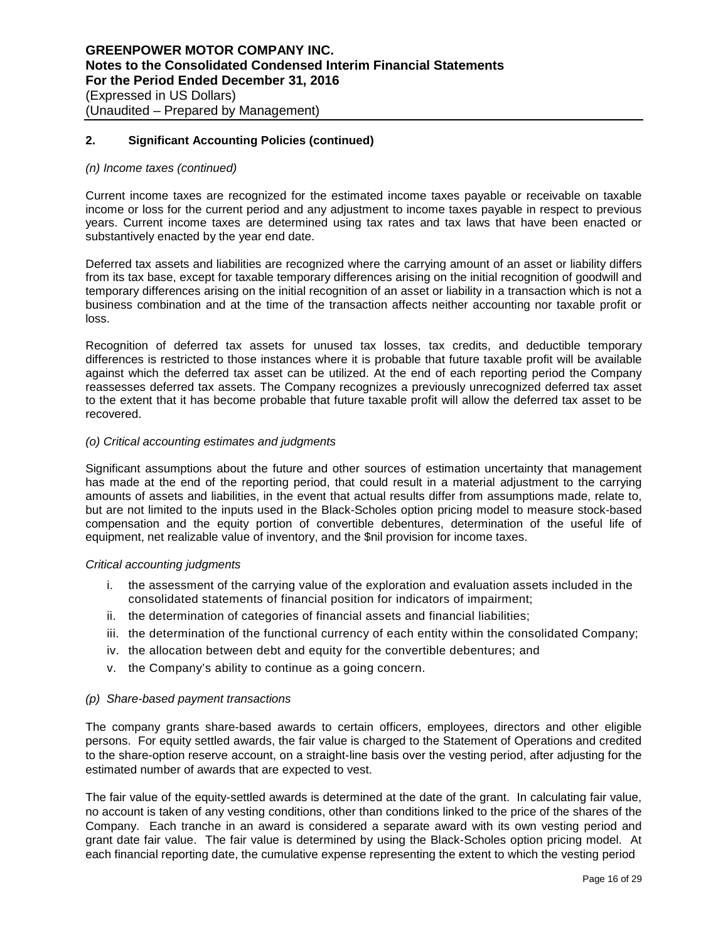#### *(n) Income taxes (continued)*

Current income taxes are recognized for the estimated income taxes payable or receivable on taxable income or loss for the current period and any adjustment to income taxes payable in respect to previous years. Current income taxes are determined using tax rates and tax laws that have been enacted or substantively enacted by the year end date.

Deferred tax assets and liabilities are recognized where the carrying amount of an asset or liability differs from its tax base, except for taxable temporary differences arising on the initial recognition of goodwill and temporary differences arising on the initial recognition of an asset or liability in a transaction which is not a business combination and at the time of the transaction affects neither accounting nor taxable profit or loss.

Recognition of deferred tax assets for unused tax losses, tax credits, and deductible temporary differences is restricted to those instances where it is probable that future taxable profit will be available against which the deferred tax asset can be utilized. At the end of each reporting period the Company reassesses deferred tax assets. The Company recognizes a previously unrecognized deferred tax asset to the extent that it has become probable that future taxable profit will allow the deferred tax asset to be recovered.

### *(o) Critical accounting estimates and judgments*

Significant assumptions about the future and other sources of estimation uncertainty that management has made at the end of the reporting period, that could result in a material adjustment to the carrying amounts of assets and liabilities, in the event that actual results differ from assumptions made, relate to, but are not limited to the inputs used in the Black-Scholes option pricing model to measure stock-based compensation and the equity portion of convertible debentures, determination of the useful life of equipment, net realizable value of inventory, and the \$nil provision for income taxes.

#### *Critical accounting judgments*

- i. the assessment of the carrying value of the exploration and evaluation assets included in the consolidated statements of financial position for indicators of impairment;
- ii. the determination of categories of financial assets and financial liabilities;
- iii. the determination of the functional currency of each entity within the consolidated Company;
- iv. the allocation between debt and equity for the convertible debentures; and
- v. the Company's ability to continue as a going concern.

#### *(p) Share-based payment transactions*

The company grants share-based awards to certain officers, employees, directors and other eligible persons. For equity settled awards, the fair value is charged to the Statement of Operations and credited to the share-option reserve account, on a straight-line basis over the vesting period, after adjusting for the estimated number of awards that are expected to vest.

The fair value of the equity-settled awards is determined at the date of the grant. In calculating fair value, no account is taken of any vesting conditions, other than conditions linked to the price of the shares of the Company. Each tranche in an award is considered a separate award with its own vesting period and grant date fair value. The fair value is determined by using the Black-Scholes option pricing model. At each financial reporting date, the cumulative expense representing the extent to which the vesting period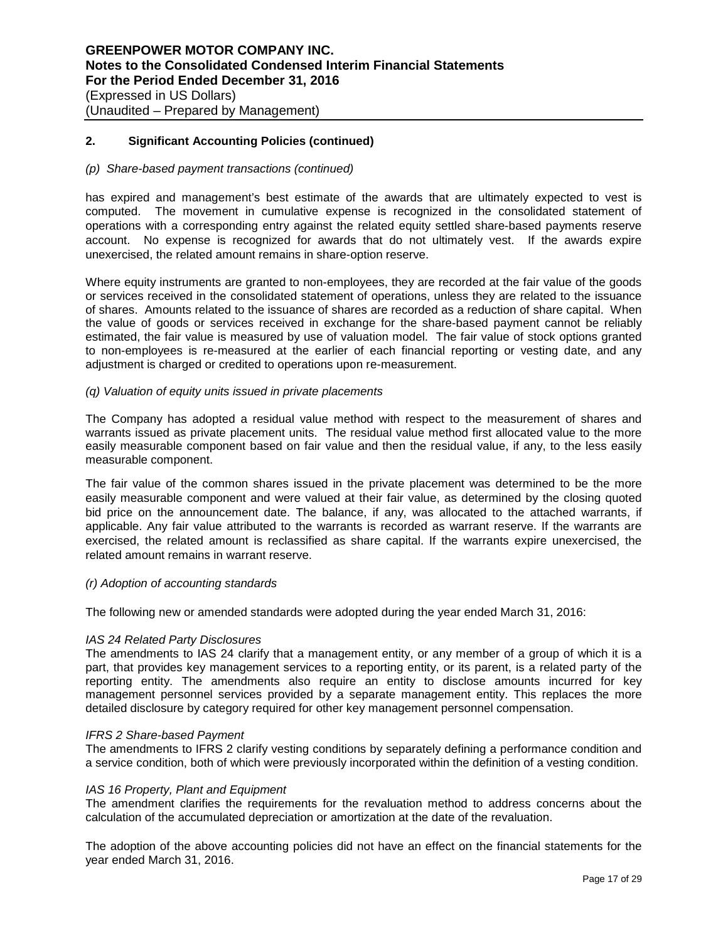### *(p) Share-based payment transactions (continued)*

has expired and management's best estimate of the awards that are ultimately expected to vest is computed. The movement in cumulative expense is recognized in the consolidated statement of operations with a corresponding entry against the related equity settled share-based payments reserve account. No expense is recognized for awards that do not ultimately vest. If the awards expire unexercised, the related amount remains in share-option reserve.

Where equity instruments are granted to non-employees, they are recorded at the fair value of the goods or services received in the consolidated statement of operations, unless they are related to the issuance of shares. Amounts related to the issuance of shares are recorded as a reduction of share capital. When the value of goods or services received in exchange for the share-based payment cannot be reliably estimated, the fair value is measured by use of valuation model. The fair value of stock options granted to non-employees is re-measured at the earlier of each financial reporting or vesting date, and any adjustment is charged or credited to operations upon re-measurement.

### *(q) Valuation of equity units issued in private placements*

The Company has adopted a residual value method with respect to the measurement of shares and warrants issued as private placement units. The residual value method first allocated value to the more easily measurable component based on fair value and then the residual value, if any, to the less easily measurable component.

The fair value of the common shares issued in the private placement was determined to be the more easily measurable component and were valued at their fair value, as determined by the closing quoted bid price on the announcement date. The balance, if any, was allocated to the attached warrants, if applicable. Any fair value attributed to the warrants is recorded as warrant reserve. If the warrants are exercised, the related amount is reclassified as share capital. If the warrants expire unexercised, the related amount remains in warrant reserve.

#### *(r) Adoption of accounting standards*

The following new or amended standards were adopted during the year ended March 31, 2016:

#### *IAS 24 Related Party Disclosures*

The amendments to IAS 24 clarify that a management entity, or any member of a group of which it is a part, that provides key management services to a reporting entity, or its parent, is a related party of the reporting entity. The amendments also require an entity to disclose amounts incurred for key management personnel services provided by a separate management entity. This replaces the more detailed disclosure by category required for other key management personnel compensation.

#### *IFRS 2 Share-based Payment*

The amendments to IFRS 2 clarify vesting conditions by separately defining a performance condition and a service condition, both of which were previously incorporated within the definition of a vesting condition.

#### *IAS 16 Property, Plant and Equipment*

The amendment clarifies the requirements for the revaluation method to address concerns about the calculation of the accumulated depreciation or amortization at the date of the revaluation.

The adoption of the above accounting policies did not have an effect on the financial statements for the year ended March 31, 2016.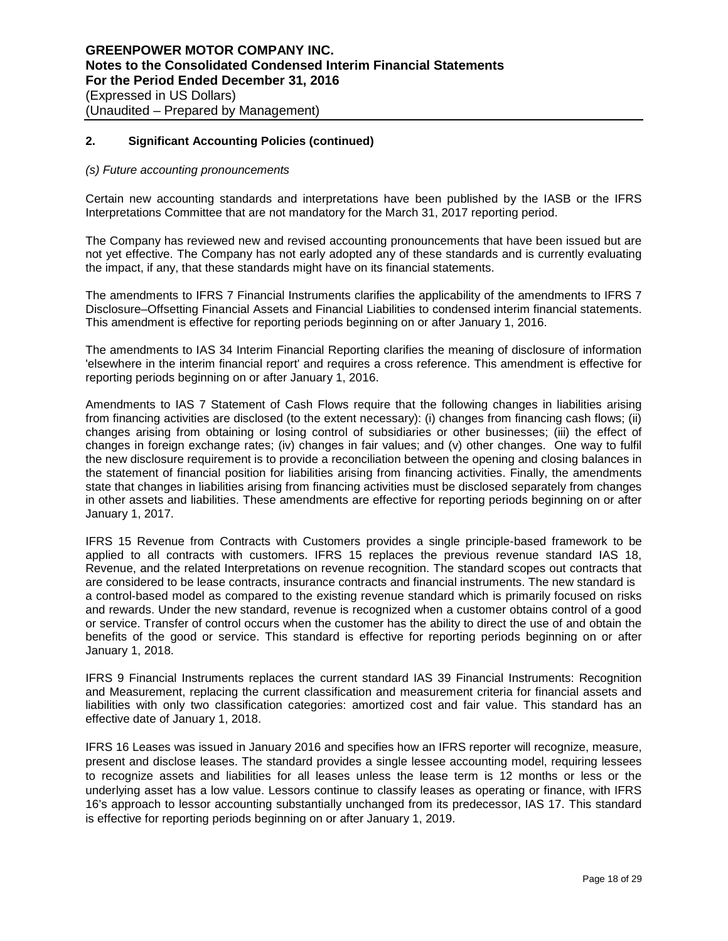#### *(s) Future accounting pronouncements*

Certain new accounting standards and interpretations have been published by the IASB or the IFRS Interpretations Committee that are not mandatory for the March 31, 2017 reporting period.

The Company has reviewed new and revised accounting pronouncements that have been issued but are not yet effective. The Company has not early adopted any of these standards and is currently evaluating the impact, if any, that these standards might have on its financial statements.

The amendments to IFRS 7 Financial Instruments clarifies the applicability of the amendments to IFRS 7 Disclosure–Offsetting Financial Assets and Financial Liabilities to condensed interim financial statements. This amendment is effective for reporting periods beginning on or after January 1, 2016.

The amendments to IAS 34 Interim Financial Reporting clarifies the meaning of disclosure of information 'elsewhere in the interim financial report' and requires a cross reference. This amendment is effective for reporting periods beginning on or after January 1, 2016.

Amendments to IAS 7 Statement of Cash Flows require that the following changes in liabilities arising from financing activities are disclosed (to the extent necessary): (i) changes from financing cash flows; (ii) changes arising from obtaining or losing control of subsidiaries or other businesses; (iii) the effect of changes in foreign exchange rates; (iv) changes in fair values; and (v) other changes. One way to fulfil the new disclosure requirement is to provide a reconciliation between the opening and closing balances in the statement of financial position for liabilities arising from financing activities. Finally, the amendments state that changes in liabilities arising from financing activities must be disclosed separately from changes in other assets and liabilities. These amendments are effective for reporting periods beginning on or after January 1, 2017.

IFRS 15 Revenue from Contracts with Customers provides a single principle-based framework to be applied to all contracts with customers. IFRS 15 replaces the previous revenue standard IAS 18, Revenue, and the related Interpretations on revenue recognition. The standard scopes out contracts that are considered to be lease contracts, insurance contracts and financial instruments. The new standard is a control-based model as compared to the existing revenue standard which is primarily focused on risks and rewards. Under the new standard, revenue is recognized when a customer obtains control of a good or service. Transfer of control occurs when the customer has the ability to direct the use of and obtain the benefits of the good or service. This standard is effective for reporting periods beginning on or after January 1, 2018.

IFRS 9 Financial Instruments replaces the current standard IAS 39 Financial Instruments: Recognition and Measurement, replacing the current classification and measurement criteria for financial assets and liabilities with only two classification categories: amortized cost and fair value. This standard has an effective date of January 1, 2018.

IFRS 16 Leases was issued in January 2016 and specifies how an IFRS reporter will recognize, measure, present and disclose leases. The standard provides a single lessee accounting model, requiring lessees to recognize assets and liabilities for all leases unless the lease term is 12 months or less or the underlying asset has a low value. Lessors continue to classify leases as operating or finance, with IFRS 16's approach to lessor accounting substantially unchanged from its predecessor, IAS 17. This standard is effective for reporting periods beginning on or after January 1, 2019.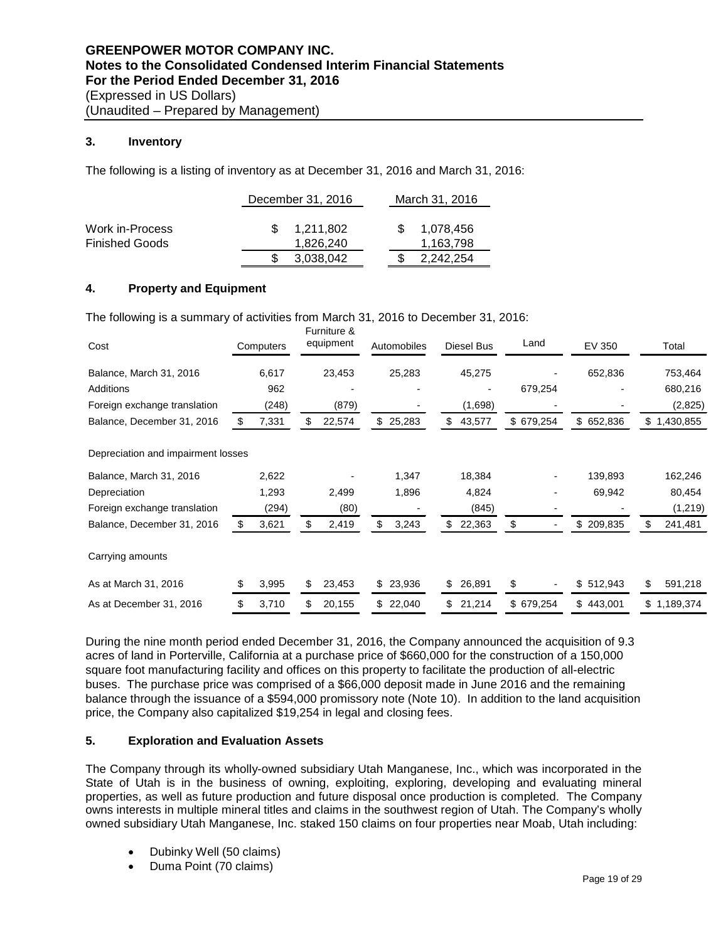# **3. Inventory**

The following is a listing of inventory as at December 31, 2016 and March 31, 2016:

|                                          | December 31, 2016      | March 31, 2016         |  |  |  |
|------------------------------------------|------------------------|------------------------|--|--|--|
| Work in-Process<br><b>Finished Goods</b> | 1.211.802<br>1.826.240 | 1,078,456<br>1,163,798 |  |  |  |
|                                          | 3,038,042              | 2,242,254              |  |  |  |

# **4. Property and Equipment**

The following is a summary of activities from March 31, 2016 to December 31, 2016: Furniture &

| Cost                               | Computers   |    | Furniture &<br>equipment | Automobiles  |    | Diesel Bus | Land          | EV 350        | Total           |
|------------------------------------|-------------|----|--------------------------|--------------|----|------------|---------------|---------------|-----------------|
| Balance, March 31, 2016            | 6,617       |    | 23,453                   | 25,283       |    | 45,275     |               | 652,836       | 753,464         |
| Additions                          | 962         |    |                          |              |    |            | 679,254       |               | 680,216         |
| Foreign exchange translation       | (248)       |    | (879)                    |              |    | (1,698)    |               |               | (2,825)         |
| Balance, December 31, 2016         | \$<br>7,331 | S  | 22,574                   | \$<br>25,283 | \$ | 43,577     | \$679,254     | \$<br>652,836 | \$1,430,855     |
| Depreciation and impairment losses |             |    |                          |              |    |            |               |               |                 |
| Balance, March 31, 2016            | 2,622       |    |                          | 1,347        |    | 18,384     |               | 139,893       | 162,246         |
| Depreciation                       | 1,293       |    | 2,499                    | 1,896        |    | 4,824      |               | 69,942        | 80,454          |
| Foreign exchange translation       | (294)       |    | (80)                     |              |    | (845)      |               |               | (1, 219)        |
| Balance, December 31, 2016         | \$<br>3,621 | \$ | 2,419                    | \$<br>3,243  | \$ | 22,363     | \$            | \$<br>209,835 | \$<br>241,481   |
| Carrying amounts                   |             |    |                          |              |    |            |               |               |                 |
| As at March 31, 2016               | \$<br>3,995 | \$ | 23,453                   | \$<br>23,936 | \$ | 26,891     | \$            | \$<br>512,943 | 591,218         |
| As at December 31, 2016            | \$<br>3,710 |    | 20,155                   | \$<br>22,040 | S  | 21,214     | \$<br>679,254 | \$<br>443,001 | \$<br>1,189,374 |

During the nine month period ended December 31, 2016, the Company announced the acquisition of 9.3 acres of land in Porterville, California at a purchase price of \$660,000 for the construction of a 150,000 square foot manufacturing facility and offices on this property to facilitate the production of all-electric buses. The purchase price was comprised of a \$66,000 deposit made in June 2016 and the remaining balance through the issuance of a \$594,000 promissory note (Note 10). In addition to the land acquisition price, the Company also capitalized \$19,254 in legal and closing fees.

# **5. Exploration and Evaluation Assets**

The Company through its wholly-owned subsidiary Utah Manganese, Inc., which was incorporated in the State of Utah is in the business of owning, exploiting, exploring, developing and evaluating mineral properties, as well as future production and future disposal once production is completed. The Company owns interests in multiple mineral titles and claims in the southwest region of Utah. The Company's wholly owned subsidiary Utah Manganese, Inc. staked 150 claims on four properties near Moab, Utah including:

- Dubinky Well (50 claims)
- Duma Point (70 claims)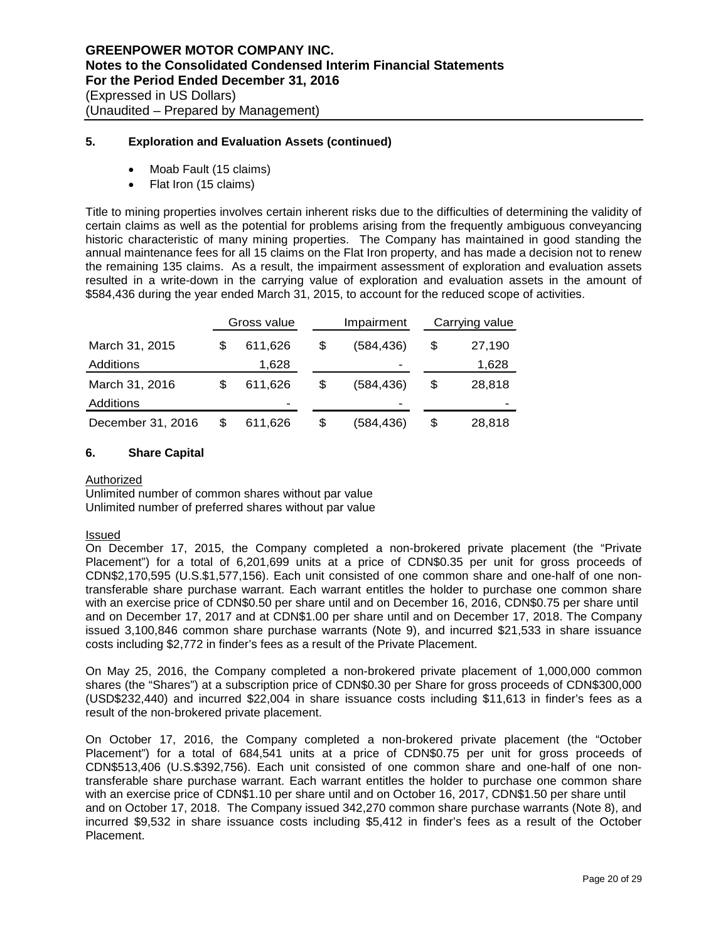# **5. Exploration and Evaluation Assets (continued)**

- Moab Fault (15 claims)
- Flat Iron (15 claims)

Title to mining properties involves certain inherent risks due to the difficulties of determining the validity of certain claims as well as the potential for problems arising from the frequently ambiguous conveyancing historic characteristic of many mining properties. The Company has maintained in good standing the annual maintenance fees for all 15 claims on the Flat Iron property, and has made a decision not to renew the remaining 135 claims. As a result, the impairment assessment of exploration and evaluation assets resulted in a write-down in the carrying value of exploration and evaluation assets in the amount of \$584,436 during the year ended March 31, 2015, to account for the reduced scope of activities.

|                   |   | Gross value |    | Impairment               |    | Carrying value |  |  |
|-------------------|---|-------------|----|--------------------------|----|----------------|--|--|
| March 31, 2015    | S | 611,626     | S  | (584,436)                | S  | 27,190         |  |  |
| Additions         |   | 1,628       |    | $\overline{\phantom{0}}$ |    | 1,628          |  |  |
| March 31, 2016    | S | 611.626     | \$ | (584.436)                | \$ | 28,818         |  |  |
| Additions         |   | -           |    | -                        |    |                |  |  |
| December 31, 2016 |   | 611,626     | S  | (584,436)                | \$ | 28,818         |  |  |

#### **6. Share Capital**

#### Authorized

Unlimited number of common shares without par value Unlimited number of preferred shares without par value

#### Issued

On December 17, 2015, the Company completed a non-brokered private placement (the "Private Placement") for a total of 6,201,699 units at a price of CDN\$0.35 per unit for gross proceeds of CDN\$2,170,595 (U.S.\$1,577,156). Each unit consisted of one common share and one-half of one nontransferable share purchase warrant. Each warrant entitles the holder to purchase one common share with an exercise price of CDN\$0.50 per share until and on December 16, 2016, CDN\$0.75 per share until and on December 17, 2017 and at CDN\$1.00 per share until and on December 17, 2018. The Company issued 3,100,846 common share purchase warrants (Note 9), and incurred \$21,533 in share issuance costs including \$2,772 in finder's fees as a result of the Private Placement.

On May 25, 2016, the Company completed a non-brokered private placement of 1,000,000 common shares (the "Shares") at a subscription price of CDN\$0.30 per Share for gross proceeds of CDN\$300,000 (USD\$232,440) and incurred \$22,004 in share issuance costs including \$11,613 in finder's fees as a result of the non-brokered private placement.

On October 17, 2016, the Company completed a non-brokered private placement (the "October Placement") for a total of 684,541 units at a price of CDN\$0.75 per unit for gross proceeds of CDN\$513,406 (U.S.\$392,756). Each unit consisted of one common share and one-half of one nontransferable share purchase warrant. Each warrant entitles the holder to purchase one common share with an exercise price of CDN\$1.10 per share until and on October 16, 2017, CDN\$1.50 per share until and on October 17, 2018. The Company issued 342,270 common share purchase warrants (Note 8), and incurred \$9,532 in share issuance costs including \$5,412 in finder's fees as a result of the October Placement.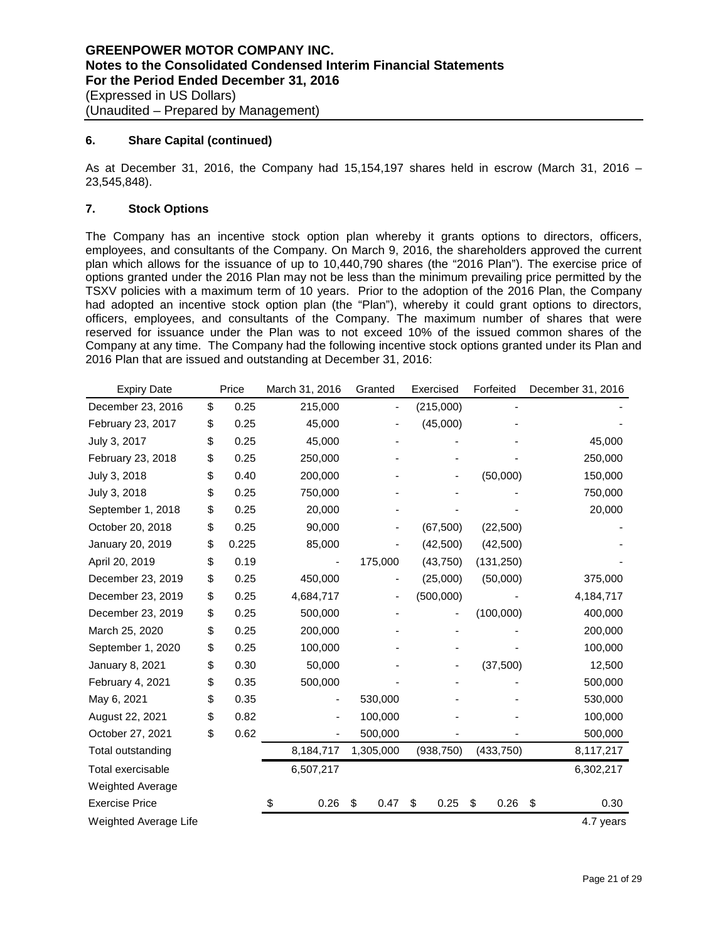## **6. Share Capital (continued)**

As at December 31, 2016, the Company had 15,154,197 shares held in escrow (March 31, 2016 – 23,545,848).

# **7. Stock Options**

The Company has an incentive stock option plan whereby it grants options to directors, officers, employees, and consultants of the Company. On March 9, 2016, the shareholders approved the current plan which allows for the issuance of up to 10,440,790 shares (the "2016 Plan"). The exercise price of options granted under the 2016 Plan may not be less than the minimum prevailing price permitted by the TSXV policies with a maximum term of 10 years. Prior to the adoption of the 2016 Plan, the Company had adopted an incentive stock option plan (the "Plan"), whereby it could grant options to directors, officers, employees, and consultants of the Company. The maximum number of shares that were reserved for issuance under the Plan was to not exceed 10% of the issued common shares of the Company at any time. The Company had the following incentive stock options granted under its Plan and 2016 Plan that are issued and outstanding at December 31, 2016:

| <b>Expiry Date</b>      | Price       | March 31, 2016 | Granted    | Exercised  | Forfeited  | December 31, 2016 |
|-------------------------|-------------|----------------|------------|------------|------------|-------------------|
| December 23, 2016       | \$<br>0.25  | 215,000        |            | (215,000)  |            |                   |
| February 23, 2017       | \$<br>0.25  | 45,000         |            | (45,000)   |            |                   |
| July 3, 2017            | \$<br>0.25  | 45,000         |            |            |            | 45,000            |
| February 23, 2018       | \$<br>0.25  | 250,000        |            |            |            | 250,000           |
| July 3, 2018            | \$<br>0.40  | 200,000        |            |            | (50,000)   | 150,000           |
| July 3, 2018            | \$<br>0.25  | 750,000        |            |            |            | 750,000           |
| September 1, 2018       | \$<br>0.25  | 20,000         |            |            |            | 20,000            |
| October 20, 2018        | \$<br>0.25  | 90,000         |            | (67, 500)  | (22, 500)  |                   |
| January 20, 2019        | \$<br>0.225 | 85,000         |            | (42,500)   | (42,500)   |                   |
| April 20, 2019          | \$<br>0.19  |                | 175,000    | (43,750)   | (131, 250) |                   |
| December 23, 2019       | \$<br>0.25  | 450,000        |            | (25,000)   |            | 375,000           |
| December 23, 2019       | \$<br>0.25  | 4,684,717      |            | (500,000)  |            | 4,184,717         |
| December 23, 2019       | \$<br>0.25  | 500,000        |            |            | (100,000)  | 400,000           |
| March 25, 2020          | \$<br>0.25  | 200,000        |            |            |            | 200,000           |
| September 1, 2020       | \$<br>0.25  | 100,000        |            |            |            | 100,000           |
| January 8, 2021         | \$<br>0.30  | 50,000         |            |            | (37,500)   | 12,500            |
| February 4, 2021        | \$<br>0.35  | 500,000        |            |            |            | 500,000           |
| May 6, 2021             | \$<br>0.35  |                | 530,000    |            |            | 530,000           |
| August 22, 2021         | \$<br>0.82  |                | 100,000    |            |            | 100,000           |
| October 27, 2021        | \$<br>0.62  |                | 500,000    |            |            | 500,000           |
| Total outstanding       |             | 8,184,717      | 1,305,000  | (938, 750) | (433,750)  | 8,117,217         |
| Total exercisable       |             | 6,507,217      |            |            |            | 6,302,217         |
| <b>Weighted Average</b> |             |                |            |            |            |                   |
| <b>Exercise Price</b>   |             | \$<br>0.26     | \$<br>0.47 | \$<br>0.25 | \$<br>0.26 | \$<br>0.30        |
| Weighted Average Life   |             |                |            |            |            | 4.7 years         |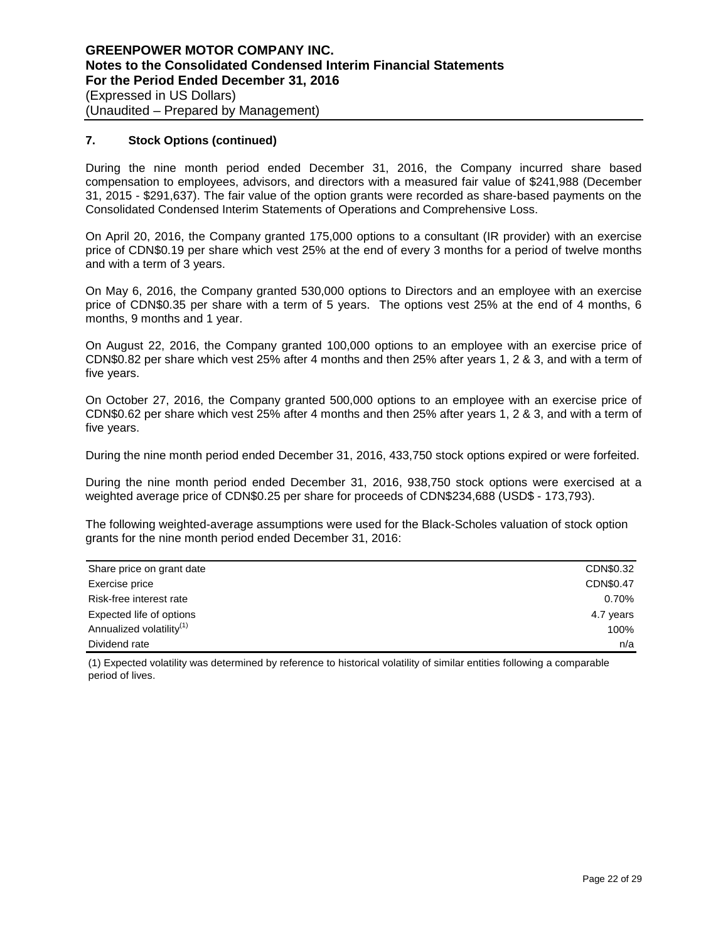# **7. Stock Options (continued)**

During the nine month period ended December 31, 2016, the Company incurred share based compensation to employees, advisors, and directors with a measured fair value of \$241,988 (December 31, 2015 - \$291,637). The fair value of the option grants were recorded as share-based payments on the Consolidated Condensed Interim Statements of Operations and Comprehensive Loss.

On April 20, 2016, the Company granted 175,000 options to a consultant (IR provider) with an exercise price of CDN\$0.19 per share which vest 25% at the end of every 3 months for a period of twelve months and with a term of 3 years.

On May 6, 2016, the Company granted 530,000 options to Directors and an employee with an exercise price of CDN\$0.35 per share with a term of 5 years. The options vest 25% at the end of 4 months, 6 months, 9 months and 1 year.

On August 22, 2016, the Company granted 100,000 options to an employee with an exercise price of CDN\$0.82 per share which vest 25% after 4 months and then 25% after years 1, 2 & 3, and with a term of five years.

On October 27, 2016, the Company granted 500,000 options to an employee with an exercise price of CDN\$0.62 per share which vest 25% after 4 months and then 25% after years 1, 2 & 3, and with a term of five years.

During the nine month period ended December 31, 2016, 433,750 stock options expired or were forfeited.

During the nine month period ended December 31, 2016, 938,750 stock options were exercised at a weighted average price of CDN\$0.25 per share for proceeds of CDN\$234,688 (USD\$ - 173,793).

The following weighted-average assumptions were used for the Black-Scholes valuation of stock option grants for the nine month period ended December 31, 2016:

| Share price on grant date            | CDN\$0.32 |
|--------------------------------------|-----------|
| Exercise price                       | CDN\$0.47 |
| Risk-free interest rate              | 0.70%     |
| Expected life of options             | 4.7 years |
| Annualized volatility <sup>(1)</sup> | 100%      |
| Dividend rate                        | n/a       |

(1) Expected volatility was determined by reference to historical volatility of similar entities following a comparable period of lives.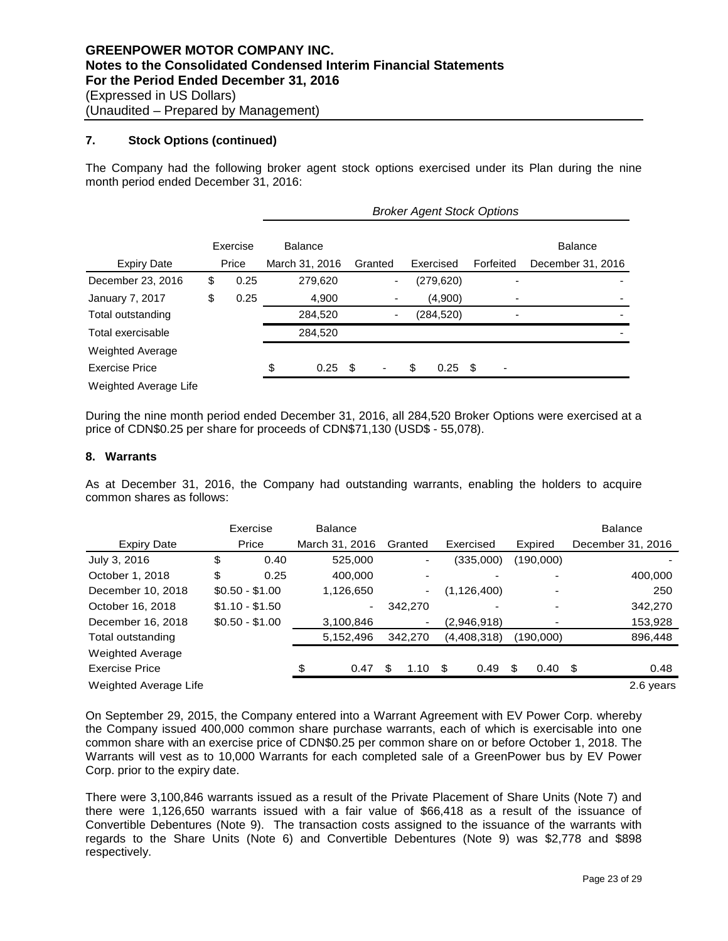# **7. Stock Options (continued)**

The Company had the following broker agent stock options exercised under its Plan during the nine month period ended December 31, 2016:

|                       |            | <b>Broker Agent Stock Options</b> |                |     |                              |    |            |           |  |                   |  |
|-----------------------|------------|-----------------------------------|----------------|-----|------------------------------|----|------------|-----------|--|-------------------|--|
|                       | Exercise   |                                   | <b>Balance</b> |     |                              |    |            |           |  | <b>Balance</b>    |  |
| <b>Expiry Date</b>    | Price      |                                   | March 31, 2016 |     | Granted                      |    | Exercised  | Forfeited |  | December 31, 2016 |  |
| December 23, 2016     | \$<br>0.25 |                                   | 279,620        |     | $\qquad \qquad \blacksquare$ |    | (279, 620) |           |  |                   |  |
| January 7, 2017       | \$<br>0.25 |                                   | 4,900          |     | ۰                            |    | (4,900)    |           |  |                   |  |
| Total outstanding     |            |                                   | 284,520        |     | ٠                            |    | (284, 520) |           |  |                   |  |
| Total exercisable     |            |                                   | 284,520        |     |                              |    |            |           |  |                   |  |
| Weighted Average      |            |                                   |                |     |                              |    |            |           |  |                   |  |
| <b>Exercise Price</b> |            | \$                                | 0.25           | -\$ |                              | \$ | 0.25       | - \$      |  |                   |  |
| Weighted Average Life |            |                                   |                |     |                              |    |            |           |  |                   |  |

During the nine month period ended December 31, 2016, all 284,520 Broker Options were exercised at a price of CDN\$0.25 per share for proceeds of CDN\$71,130 (USD\$ - 55,078).

# **8. Warrants**

As at December 31, 2016, the Company had outstanding warrants, enabling the holders to acquire common shares as follows:

|                         | Exercise        | <b>Balance</b> |                |             |                          | <b>Balance</b>    |
|-------------------------|-----------------|----------------|----------------|-------------|--------------------------|-------------------|
| <b>Expiry Date</b>      | Price           | March 31, 2016 | Granted        | Exercised   | Expired                  | December 31, 2016 |
| July 3, 2016            | \$<br>0.40      | 525,000        | ۰              | (335,000)   | (190,000)                |                   |
| October 1, 2018         | \$<br>0.25      | 400.000        |                |             |                          | 400,000           |
| December 10, 2018       | $$0.50 - $1.00$ | 1,126,650      | $\blacksquare$ | (1,126,400) | -                        | 250               |
| October 16, 2018        | $$1.10 - $1.50$ |                | 342,270        |             |                          | 342,270           |
| December 16, 2018       | $$0.50 - $1.00$ | 3,100,846      | ٠              | (2,946,918) | $\overline{\phantom{a}}$ | 153,928           |
| Total outstanding       |                 | 5,152,496      | 342,270        | (4,408,318) | (190,000)                | 896,448           |
| <b>Weighted Average</b> |                 |                |                |             |                          |                   |
| Exercise Price          |                 | \$<br>0.47     | 1.10           | \$<br>0.49  | \$<br>0.40               | \$<br>0.48        |
| Weighted Average Life   |                 |                |                |             |                          | 2.6 years         |

On September 29, 2015, the Company entered into a Warrant Agreement with EV Power Corp. whereby the Company issued 400,000 common share purchase warrants, each of which is exercisable into one common share with an exercise price of CDN\$0.25 per common share on or before October 1, 2018. The Warrants will vest as to 10,000 Warrants for each completed sale of a GreenPower bus by EV Power Corp. prior to the expiry date.

There were 3,100,846 warrants issued as a result of the Private Placement of Share Units (Note 7) and there were 1,126,650 warrants issued with a fair value of \$66,418 as a result of the issuance of Convertible Debentures (Note 9). The transaction costs assigned to the issuance of the warrants with regards to the Share Units (Note 6) and Convertible Debentures (Note 9) was \$2,778 and \$898 respectively.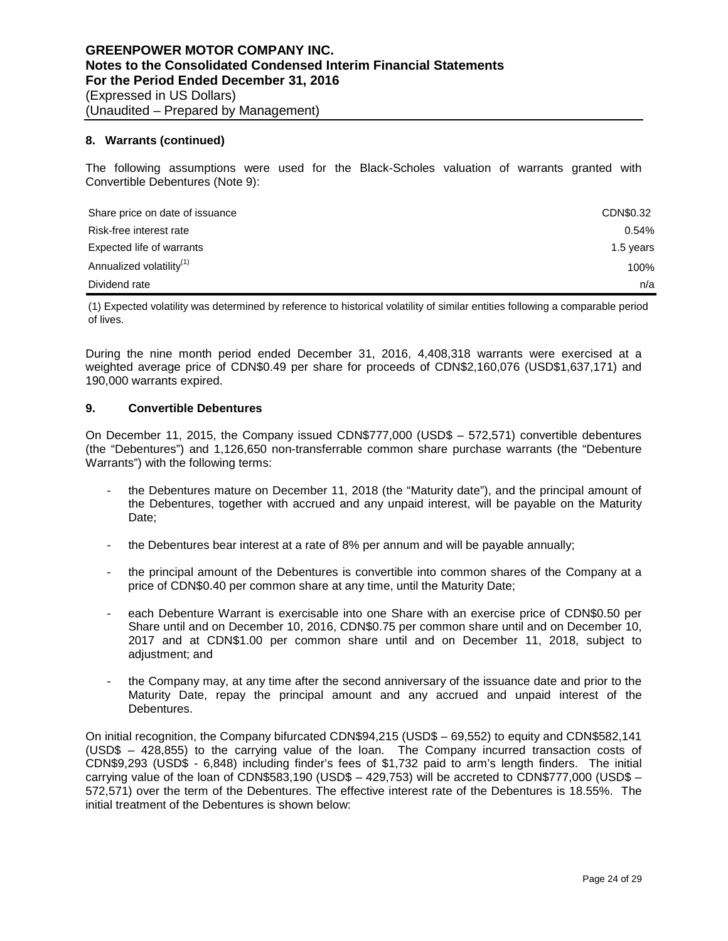## **8. Warrants (continued)**

The following assumptions were used for the Black-Scholes valuation of warrants granted with Convertible Debentures (Note 9):

| Share price on date of issuance      | CDN\$0.32 |
|--------------------------------------|-----------|
| Risk-free interest rate              | 0.54%     |
| Expected life of warrants            | 1.5 years |
| Annualized volatility <sup>(1)</sup> | 100%      |
| Dividend rate                        | n/a       |

(1) Expected volatility was determined by reference to historical volatility of similar entities following a comparable period of lives.

During the nine month period ended December 31, 2016, 4,408,318 warrants were exercised at a weighted average price of CDN\$0.49 per share for proceeds of CDN\$2,160,076 (USD\$1,637,171) and 190,000 warrants expired.

### **9. Convertible Debentures**

On December 11, 2015, the Company issued CDN\$777,000 (USD\$ – 572,571) convertible debentures (the "Debentures") and 1,126,650 non-transferrable common share purchase warrants (the "Debenture Warrants") with the following terms:

- the Debentures mature on December 11, 2018 (the "Maturity date"), and the principal amount of the Debentures, together with accrued and any unpaid interest, will be payable on the Maturity Date;
- the Debentures bear interest at a rate of 8% per annum and will be payable annually;
- the principal amount of the Debentures is convertible into common shares of the Company at a price of CDN\$0.40 per common share at any time, until the Maturity Date;
- each Debenture Warrant is exercisable into one Share with an exercise price of CDN\$0.50 per Share until and on December 10, 2016, CDN\$0.75 per common share until and on December 10, 2017 and at CDN\$1.00 per common share until and on December 11, 2018, subject to adjustment; and
- the Company may, at any time after the second anniversary of the issuance date and prior to the Maturity Date, repay the principal amount and any accrued and unpaid interest of the Debentures.

On initial recognition, the Company bifurcated CDN\$94,215 (USD\$ – 69,552) to equity and CDN\$582,141 (USD\$ – 428,855) to the carrying value of the loan. The Company incurred transaction costs of CDN\$9,293 (USD\$ - 6,848) including finder's fees of \$1,732 paid to arm's length finders. The initial carrying value of the loan of CDN\$583,190 (USD\$  $-$  429,753) will be accreted to CDN\$777,000 (USD\$  $-$ 572,571) over the term of the Debentures. The effective interest rate of the Debentures is 18.55%. The initial treatment of the Debentures is shown below: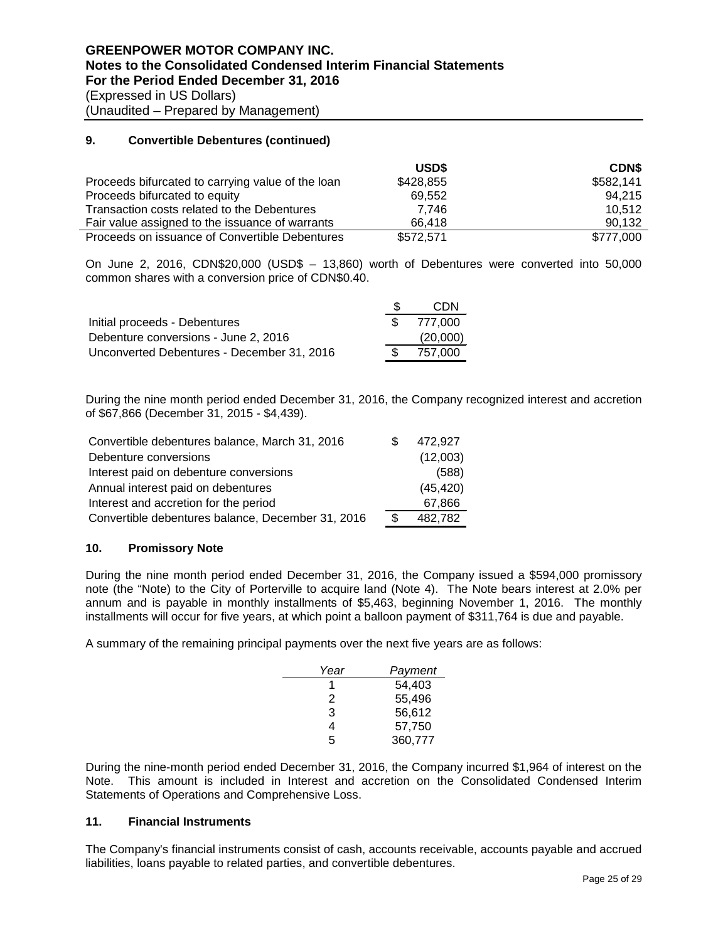# **9. Convertible Debentures (continued)**

|                                                   | USD\$     | <b>CDNS</b> |
|---------------------------------------------------|-----------|-------------|
| Proceeds bifurcated to carrying value of the loan | \$428,855 | \$582,141   |
| Proceeds bifurcated to equity                     | 69.552    | 94.215      |
| Transaction costs related to the Debentures       | 7.746     | 10.512      |
| Fair value assigned to the issuance of warrants   | 66.418    | 90.132      |
| Proceeds on issuance of Convertible Debentures    | \$572,571 | \$777,000   |

On June 2, 2016, CDN\$20,000 (USD\$ – 13,860) worth of Debentures were converted into 50,000 common shares with a conversion price of CDN\$0.40.

|                                            | CDN      |
|--------------------------------------------|----------|
| Initial proceeds - Debentures              | 777.000  |
| Debenture conversions - June 2, 2016       | (20,000) |
| Unconverted Debentures - December 31, 2016 | 757.000  |

During the nine month period ended December 31, 2016, the Company recognized interest and accretion of \$67,866 (December 31, 2015 - \$4,439).

| Convertible debentures balance, March 31, 2016    | 472.927       |
|---------------------------------------------------|---------------|
| Debenture conversions                             | (12,003)      |
| Interest paid on debenture conversions            | (588)         |
| Annual interest paid on debentures                | (45, 420)     |
| Interest and accretion for the period             | 67.866        |
| Convertible debentures balance, December 31, 2016 | \$<br>482,782 |

# **10. Promissory Note**

During the nine month period ended December 31, 2016, the Company issued a \$594,000 promissory note (the "Note) to the City of Porterville to acquire land (Note 4). The Note bears interest at 2.0% per annum and is payable in monthly installments of \$5,463, beginning November 1, 2016. The monthly installments will occur for five years, at which point a balloon payment of \$311,764 is due and payable.

A summary of the remaining principal payments over the next five years are as follows:

| Year | Payment |
|------|---------|
|      | 54,403  |
| 2    | 55,496  |
| 3    | 56,612  |
| 4    | 57,750  |
| 5    | 360,777 |

During the nine-month period ended December 31, 2016, the Company incurred \$1,964 of interest on the Note. This amount is included in Interest and accretion on the Consolidated Condensed Interim Statements of Operations and Comprehensive Loss.

#### **11. Financial Instruments**

The Company's financial instruments consist of cash, accounts receivable, accounts payable and accrued liabilities, loans payable to related parties, and convertible debentures.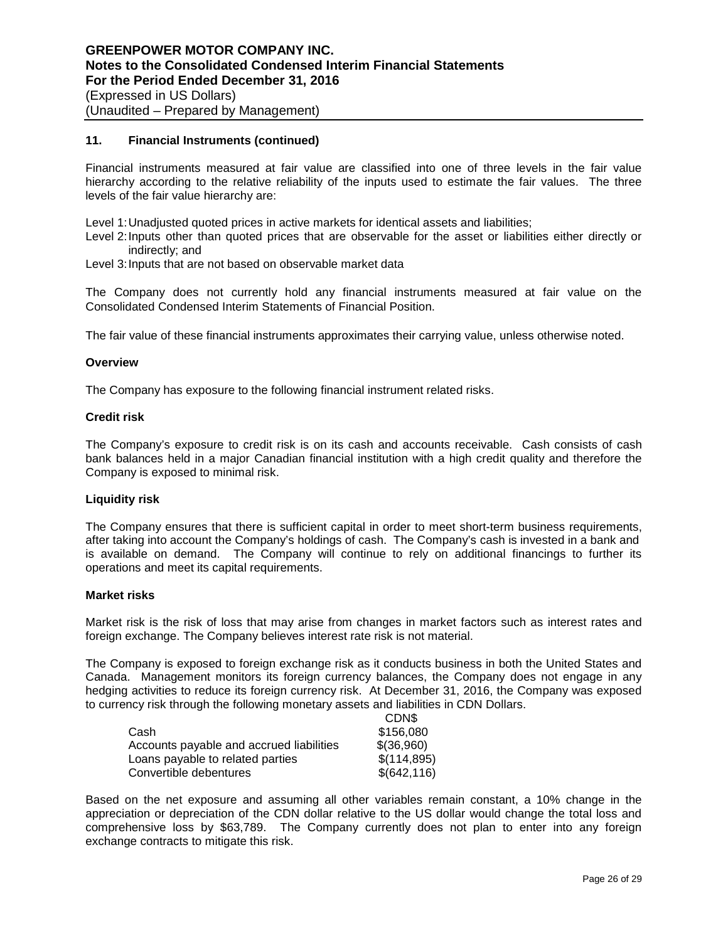## **11. Financial Instruments (continued)**

Financial instruments measured at fair value are classified into one of three levels in the fair value hierarchy according to the relative reliability of the inputs used to estimate the fair values. The three levels of the fair value hierarchy are:

Level 1:Unadjusted quoted prices in active markets for identical assets and liabilities;

Level 2:Inputs other than quoted prices that are observable for the asset or liabilities either directly or indirectly; and

Level 3: Inputs that are not based on observable market data

The Company does not currently hold any financial instruments measured at fair value on the Consolidated Condensed Interim Statements of Financial Position.

The fair value of these financial instruments approximates their carrying value, unless otherwise noted.

#### **Overview**

The Company has exposure to the following financial instrument related risks.

#### **Credit risk**

The Company's exposure to credit risk is on its cash and accounts receivable. Cash consists of cash bank balances held in a major Canadian financial institution with a high credit quality and therefore the Company is exposed to minimal risk.

#### **Liquidity risk**

The Company ensures that there is sufficient capital in order to meet short-term business requirements, after taking into account the Company's holdings of cash. The Company's cash is invested in a bank and is available on demand. The Company will continue to rely on additional financings to further its operations and meet its capital requirements.

#### **Market risks**

Market risk is the risk of loss that may arise from changes in market factors such as interest rates and foreign exchange. The Company believes interest rate risk is not material.

The Company is exposed to foreign exchange risk as it conducts business in both the United States and Canada. Management monitors its foreign currency balances, the Company does not engage in any hedging activities to reduce its foreign currency risk. At December 31, 2016, the Company was exposed to currency risk through the following monetary assets and liabilities in CDN Dollars.  $CDN$ 

| UUIND        |
|--------------|
| \$156,080    |
| \$(36,960)   |
| \$(114,895)  |
| \$(642, 116) |
|              |

Based on the net exposure and assuming all other variables remain constant, a 10% change in the appreciation or depreciation of the CDN dollar relative to the US dollar would change the total loss and comprehensive loss by \$63,789. The Company currently does not plan to enter into any foreign exchange contracts to mitigate this risk.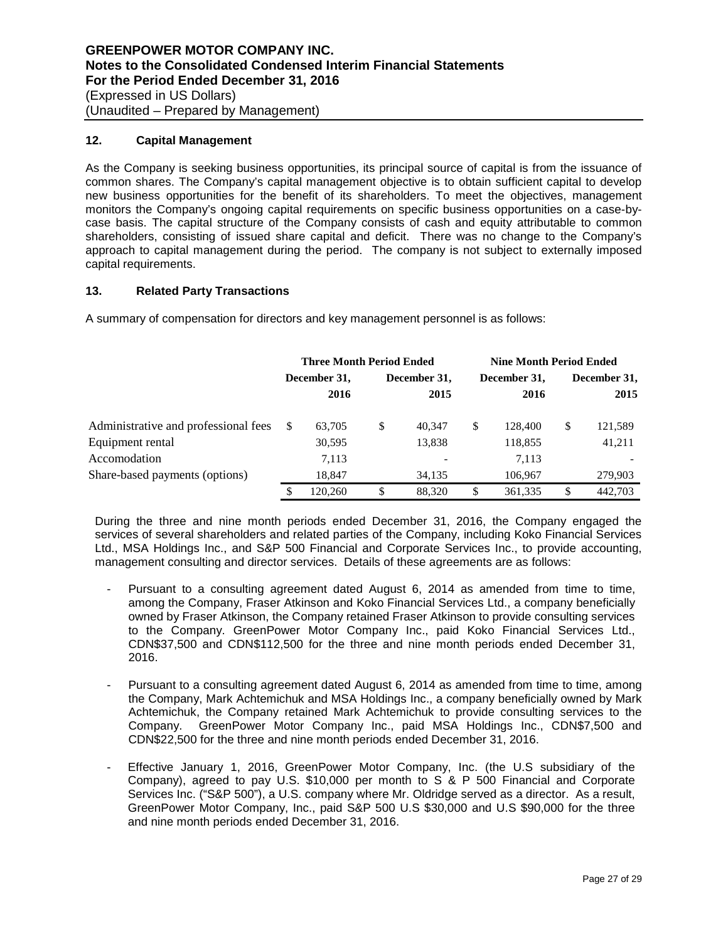# **12. Capital Management**

As the Company is seeking business opportunities, its principal source of capital is from the issuance of common shares. The Company's capital management objective is to obtain sufficient capital to develop new business opportunities for the benefit of its shareholders. To meet the objectives, management monitors the Company's ongoing capital requirements on specific business opportunities on a case-bycase basis. The capital structure of the Company consists of cash and equity attributable to common shareholders, consisting of issued share capital and deficit. There was no change to the Company's approach to capital management during the period. The company is not subject to externally imposed capital requirements.

# **13. Related Party Transactions**

A summary of compensation for directors and key management personnel is as follows:

|                                      | <b>Three Month Period Ended</b> |         |    |                          | <b>Nine Month Period Ended</b> |              |    |              |  |
|--------------------------------------|---------------------------------|---------|----|--------------------------|--------------------------------|--------------|----|--------------|--|
|                                      | December 31,                    |         |    | December 31,             |                                | December 31, |    | December 31, |  |
|                                      |                                 | 2016    |    | 2015                     |                                | 2016         |    | 2015         |  |
| Administrative and professional fees | S                               | 63.705  | \$ | 40.347                   | \$                             | 128,400      | \$ | 121,589      |  |
| Equipment rental                     |                                 | 30,595  |    | 13,838                   |                                | 118,855      |    | 41,211       |  |
| Accomodation                         |                                 | 7,113   |    | $\overline{\phantom{a}}$ |                                | 7.113        |    |              |  |
| Share-based payments (options)       |                                 | 18,847  |    | 34,135                   |                                | 106,967      |    | 279,903      |  |
|                                      | S                               | 120.260 | \$ | 88,320                   | \$                             | 361,335      | S  | 442,703      |  |

During the three and nine month periods ended December 31, 2016, the Company engaged the services of several shareholders and related parties of the Company, including Koko Financial Services Ltd., MSA Holdings Inc., and S&P 500 Financial and Corporate Services Inc., to provide accounting, management consulting and director services. Details of these agreements are as follows:

- Pursuant to a consulting agreement dated August 6, 2014 as amended from time to time, among the Company, Fraser Atkinson and Koko Financial Services Ltd., a company beneficially owned by Fraser Atkinson, the Company retained Fraser Atkinson to provide consulting services to the Company. GreenPower Motor Company Inc., paid Koko Financial Services Ltd., CDN\$37,500 and CDN\$112,500 for the three and nine month periods ended December 31, 2016.
- Pursuant to a consulting agreement dated August 6, 2014 as amended from time to time, among the Company, Mark Achtemichuk and MSA Holdings Inc., a company beneficially owned by Mark Achtemichuk, the Company retained Mark Achtemichuk to provide consulting services to the Company. GreenPower Motor Company Inc., paid MSA Holdings Inc., CDN\$7,500 and CDN\$22,500 for the three and nine month periods ended December 31, 2016.
- Effective January 1, 2016, GreenPower Motor Company, Inc. (the U.S subsidiary of the Company), agreed to pay U.S. \$10,000 per month to S & P 500 Financial and Corporate Services Inc. ("S&P 500"), a U.S. company where Mr. Oldridge served as a director. As a result, GreenPower Motor Company, Inc., paid S&P 500 U.S \$30,000 and U.S \$90,000 for the three and nine month periods ended December 31, 2016.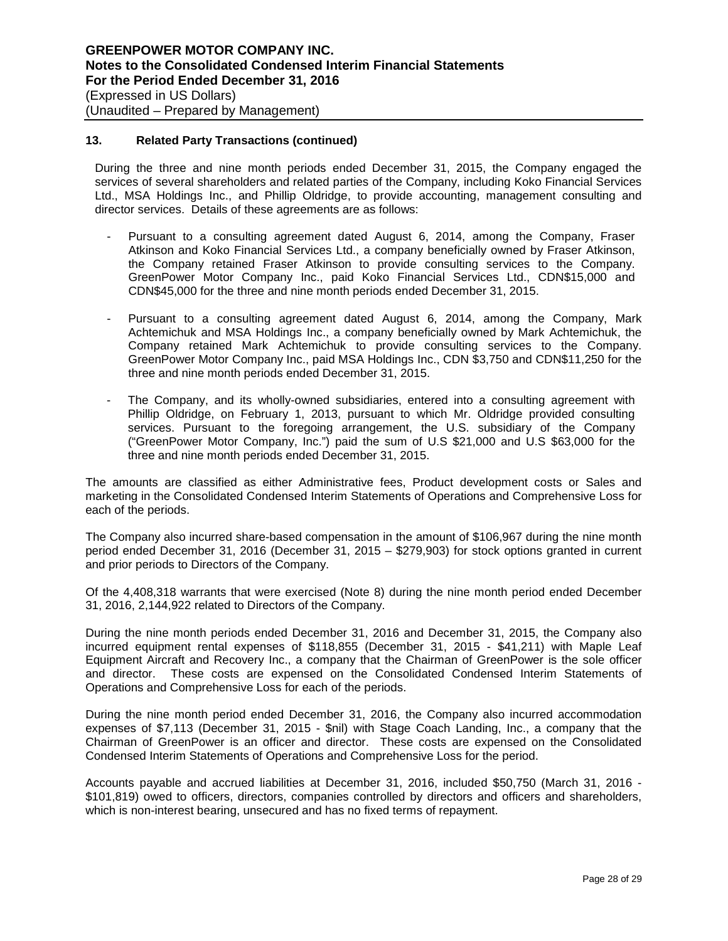## **13. Related Party Transactions (continued)**

During the three and nine month periods ended December 31, 2015, the Company engaged the services of several shareholders and related parties of the Company, including Koko Financial Services Ltd., MSA Holdings Inc., and Phillip Oldridge, to provide accounting, management consulting and director services. Details of these agreements are as follows:

- Pursuant to a consulting agreement dated August 6, 2014, among the Company, Fraser Atkinson and Koko Financial Services Ltd., a company beneficially owned by Fraser Atkinson, the Company retained Fraser Atkinson to provide consulting services to the Company. GreenPower Motor Company Inc., paid Koko Financial Services Ltd., CDN\$15,000 and CDN\$45,000 for the three and nine month periods ended December 31, 2015.
- Pursuant to a consulting agreement dated August 6, 2014, among the Company, Mark Achtemichuk and MSA Holdings Inc., a company beneficially owned by Mark Achtemichuk, the Company retained Mark Achtemichuk to provide consulting services to the Company. GreenPower Motor Company Inc., paid MSA Holdings Inc., CDN \$3,750 and CDN\$11,250 for the three and nine month periods ended December 31, 2015.
- The Company, and its wholly-owned subsidiaries, entered into a consulting agreement with Phillip Oldridge, on February 1, 2013, pursuant to which Mr. Oldridge provided consulting services. Pursuant to the foregoing arrangement, the U.S. subsidiary of the Company ("GreenPower Motor Company, Inc.") paid the sum of U.S \$21,000 and U.S \$63,000 for the three and nine month periods ended December 31, 2015.

The amounts are classified as either Administrative fees, Product development costs or Sales and marketing in the Consolidated Condensed Interim Statements of Operations and Comprehensive Loss for each of the periods.

The Company also incurred share-based compensation in the amount of \$106,967 during the nine month period ended December 31, 2016 (December 31, 2015 – \$279,903) for stock options granted in current and prior periods to Directors of the Company.

Of the 4,408,318 warrants that were exercised (Note 8) during the nine month period ended December 31, 2016, 2,144,922 related to Directors of the Company.

During the nine month periods ended December 31, 2016 and December 31, 2015, the Company also incurred equipment rental expenses of \$118,855 (December 31, 2015 - \$41,211) with Maple Leaf Equipment Aircraft and Recovery Inc., a company that the Chairman of GreenPower is the sole officer and director. These costs are expensed on the Consolidated Condensed Interim Statements of Operations and Comprehensive Loss for each of the periods.

During the nine month period ended December 31, 2016, the Company also incurred accommodation expenses of \$7,113 (December 31, 2015 - \$nil) with Stage Coach Landing, Inc., a company that the Chairman of GreenPower is an officer and director. These costs are expensed on the Consolidated Condensed Interim Statements of Operations and Comprehensive Loss for the period.

Accounts payable and accrued liabilities at December 31, 2016, included \$50,750 (March 31, 2016 - \$101,819) owed to officers, directors, companies controlled by directors and officers and shareholders, which is non-interest bearing, unsecured and has no fixed terms of repayment.